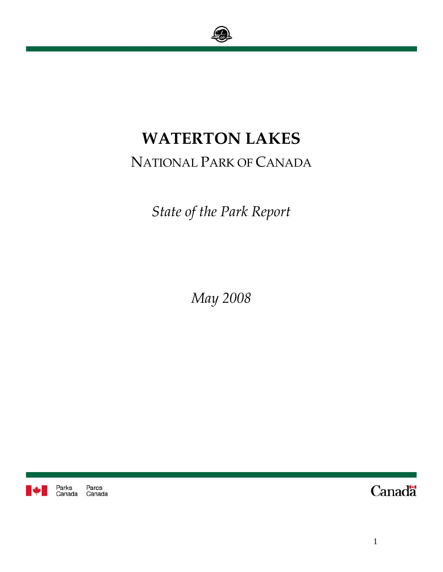

# **WATERTON LAKES**

# NATIONAL PARK OF CANADA

*State of the Park Report* 

*May 2008* 



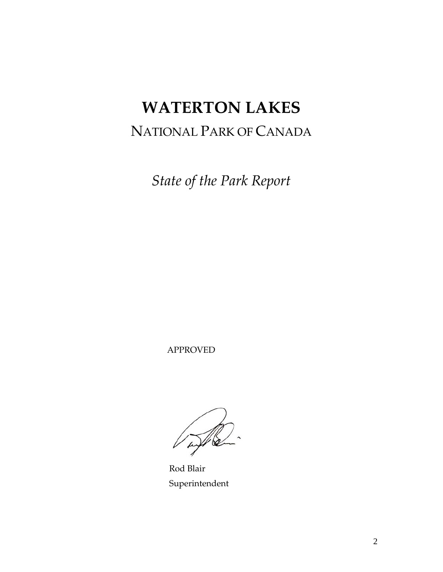# **WATERTON LAKES**

# NATIONAL PARK OF CANADA

*State of the Park Report* 

APPROVED

 Rod Blair Superintendent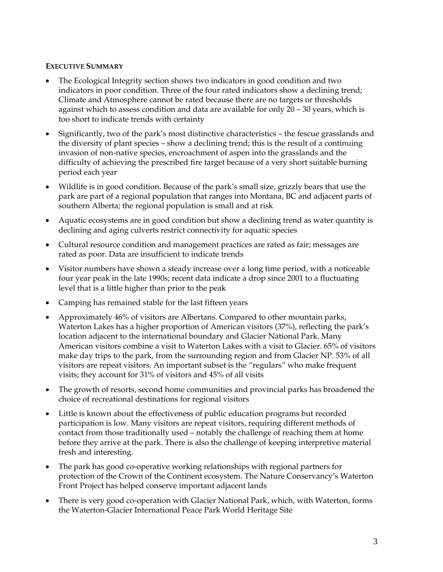#### **EXECUTIVE SUMMARY**

- The Ecological Integrity section shows two indicators in good condition and two indicators in poor condition. Three of the four rated indicators show a declining trend; Climate and Atmosphere cannot be rated because there are no targets or thresholds against which to assess condition and data are available for only 20 – 30 years, which is too short to indicate trends with certainty
- Significantly, two of the park's most distinctive characteristics the fescue grasslands and the diversity of plant species – show a declining trend; this is the result of a continuing invasion of non-native species, encroachment of aspen into the grasslands and the difficulty of achieving the prescribed fire target because of a very short suitable burning period each year
- Wildlife is in good condition. Because of the park's small size, grizzly bears that use the park are part of a regional population that ranges into Montana, BC and adjacent parts of southern Alberta; the regional population is small and at risk
- Aquatic ecosystems are in good condition but show a declining trend as water quantity is declining and aging culverts restrict connectivity for aquatic species
- Cultural resource condition and management practices are rated as fair; messages are rated as poor. Data are insufficient to indicate trends
- Visitor numbers have shown a steady increase over a long time period, with a noticeable four year peak in the late 1990s; recent data indicate a drop since 2001 to a fluctuating level that is a little higher than prior to the peak
- Camping has remained stable for the last fifteen years
- Approximately 46% of visitors are Albertans. Compared to other mountain parks, Waterton Lakes has a higher proportion of American visitors (37%), reflecting the park's location adjacent to the international boundary and Glacier National Park. Many American visitors combine a visit to Waterton Lakes with a visit to Glacier. 65% of visitors make day trips to the park, from the surrounding region and from Glacier NP. 53% of all visitors are repeat visitors. An important subset is the "regulars" who make frequent visits; they account for 31% of visitors and 45% of all visits
- The growth of resorts, second home communities and provincial parks has broadened the choice of recreational destinations for regional visitors
- Little is known about the effectiveness of public education programs but recorded participation is low. Many visitors are repeat visitors, requiring different methods of contact from those traditionally used – notably the challenge of reaching them at home before they arrive at the park. There is also the challenge of keeping interpretive material fresh and interesting.
- The park has good co-operative working relationships with regional partners for protection of the Crown of the Continent ecosystem. The Nature Conservancy's Waterton Front Project has helped conserve important adjacent lands
- There is very good co-operation with Glacier National Park, which, with Waterton, forms the Waterton-Glacier International Peace Park World Heritage Site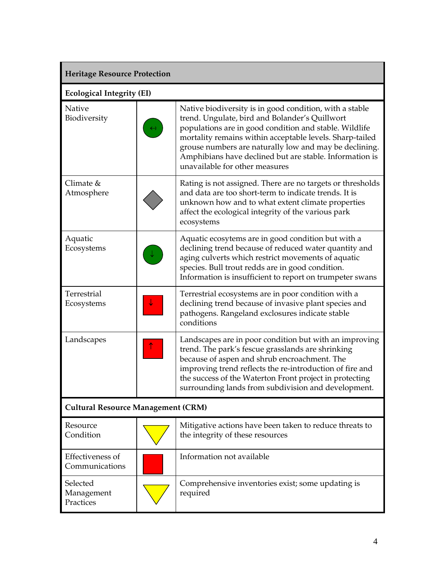| <b>Heritage Resource Protection</b>       |                                  |                                                                                                                                                                                                                                                                                                                                                                                        |  |  |  |
|-------------------------------------------|----------------------------------|----------------------------------------------------------------------------------------------------------------------------------------------------------------------------------------------------------------------------------------------------------------------------------------------------------------------------------------------------------------------------------------|--|--|--|
|                                           | <b>Ecological Integrity (EI)</b> |                                                                                                                                                                                                                                                                                                                                                                                        |  |  |  |
| Native<br>Biodiversity                    |                                  | Native biodiversity is in good condition, with a stable<br>trend. Ungulate, bird and Bolander's Quillwort<br>populations are in good condition and stable. Wildlife<br>mortality remains within acceptable levels. Sharp-tailed<br>grouse numbers are naturally low and may be declining.<br>Amphibians have declined but are stable. Information is<br>unavailable for other measures |  |  |  |
| Climate $&$<br>Atmosphere                 |                                  | Rating is not assigned. There are no targets or thresholds<br>and data are too short-term to indicate trends. It is<br>unknown how and to what extent climate properties<br>affect the ecological integrity of the various park<br>ecosystems                                                                                                                                          |  |  |  |
| Aquatic<br>Ecosystems                     |                                  | Aquatic ecosytems are in good condition but with a<br>declining trend because of reduced water quantity and<br>aging culverts which restrict movements of aquatic<br>species. Bull trout redds are in good condition.<br>Information is insufficient to report on trumpeter swans                                                                                                      |  |  |  |
| Terrestrial<br>Ecosystems                 |                                  | Terrestrial ecosystems are in poor condition with a<br>declining trend because of invasive plant species and<br>pathogens. Rangeland exclosures indicate stable<br>conditions                                                                                                                                                                                                          |  |  |  |
| Landscapes                                |                                  | Landscapes are in poor condition but with an improving<br>trend. The park's fescue grasslands are shrinking<br>because of aspen and shrub encroachment. The<br>improving trend reflects the re-introduction of fire and<br>the success of the Waterton Front project in protecting<br>surrounding lands from subdivision and development.                                              |  |  |  |
| <b>Cultural Resource Management (CRM)</b> |                                  |                                                                                                                                                                                                                                                                                                                                                                                        |  |  |  |
| Resource<br>Condition                     |                                  | Mitigative actions have been taken to reduce threats to<br>the integrity of these resources                                                                                                                                                                                                                                                                                            |  |  |  |
| Effectiveness of<br>Communications        |                                  | Information not available                                                                                                                                                                                                                                                                                                                                                              |  |  |  |
| Selected<br>Management<br>Practices       |                                  | Comprehensive inventories exist; some updating is<br>required                                                                                                                                                                                                                                                                                                                          |  |  |  |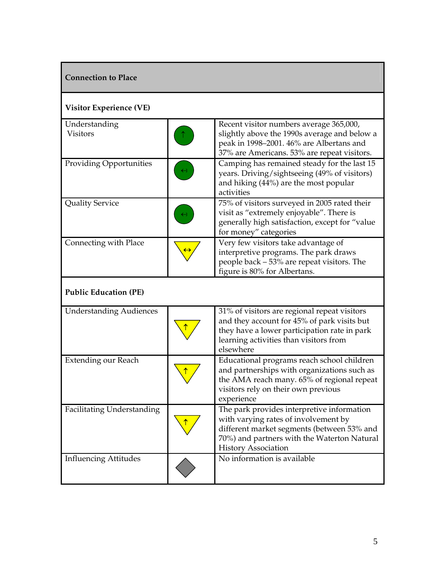| <b>Connection to Place</b>       |  |                                                                                                                                                                                                               |  |
|----------------------------------|--|---------------------------------------------------------------------------------------------------------------------------------------------------------------------------------------------------------------|--|
| <b>Visitor Experience (VE)</b>   |  |                                                                                                                                                                                                               |  |
| Understanding<br><b>Visitors</b> |  | Recent visitor numbers average 365,000,<br>slightly above the 1990s average and below a<br>peak in 1998-2001. 46% are Albertans and<br>37% are Americans. 53% are repeat visitors.                            |  |
| <b>Providing Opportunities</b>   |  | Camping has remained steady for the last 15<br>years. Driving/sightseeing (49% of visitors)<br>and hiking (44%) are the most popular<br>activities                                                            |  |
| <b>Quality Service</b>           |  | 75% of visitors surveyed in 2005 rated their<br>visit as "extremely enjoyable". There is<br>generally high satisfaction, except for "value<br>for money" categories                                           |  |
| Connecting with Place            |  | Very few visitors take advantage of<br>interpretive programs. The park draws<br>people back - 53% are repeat visitors. The<br>figure is 80% for Albertans.                                                    |  |
| <b>Public Education (PE)</b>     |  |                                                                                                                                                                                                               |  |
| <b>Understanding Audiences</b>   |  | $31\%$ of visitors are regional repeat visitors<br>and they account for 45% of park visits but<br>they have a lower participation rate in park<br>learning activities than visitors from<br>elsewhere         |  |
| Extending our Reach              |  | Educational programs reach school children<br>and partnerships with organizations such as<br>the AMA reach many. 65% of regional repeat<br>visitors rely on their own previous<br>experience                  |  |
| Facilitating Understanding       |  | The park provides interpretive information<br>with varying rates of involvement by<br>different market segments (between 53% and<br>70%) and partners with the Waterton Natural<br><b>History Association</b> |  |
| <b>Influencing Attitudes</b>     |  | No information is available                                                                                                                                                                                   |  |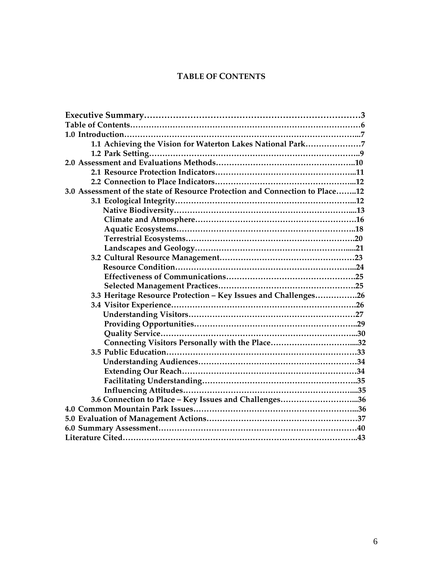# **TABLE OF CONTENTS**

| 1.1 Achieving the Vision for Waterton Lakes National Park7                   |
|------------------------------------------------------------------------------|
|                                                                              |
|                                                                              |
|                                                                              |
|                                                                              |
| 3.0 Assessment of the state of Resource Protection and Connection to Place12 |
|                                                                              |
|                                                                              |
|                                                                              |
|                                                                              |
|                                                                              |
|                                                                              |
|                                                                              |
|                                                                              |
|                                                                              |
|                                                                              |
| 3.3 Heritage Resource Protection - Key Issues and Challenges26               |
|                                                                              |
|                                                                              |
|                                                                              |
|                                                                              |
|                                                                              |
|                                                                              |
|                                                                              |
|                                                                              |
|                                                                              |
|                                                                              |
| 3.6 Connection to Place - Key Issues and Challenges36                        |
|                                                                              |
|                                                                              |
|                                                                              |
|                                                                              |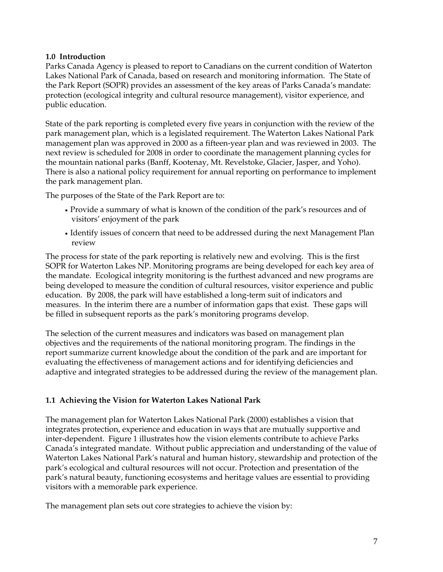#### **1.0 Introduction**

Parks Canada Agency is pleased to report to Canadians on the current condition of Waterton Lakes National Park of Canada, based on research and monitoring information. The State of the Park Report (SOPR) provides an assessment of the key areas of Parks Canada's mandate: protection (ecological integrity and cultural resource management), visitor experience, and public education.

State of the park reporting is completed every five years in conjunction with the review of the park management plan, which is a legislated requirement. The Waterton Lakes National Park management plan was approved in 2000 as a fifteen-year plan and was reviewed in 2003. The next review is scheduled for 2008 in order to coordinate the management planning cycles for the mountain national parks (Banff, Kootenay, Mt. Revelstoke, Glacier, Jasper, and Yoho). There is also a national policy requirement for annual reporting on performance to implement the park management plan.

The purposes of the State of the Park Report are to:

- Provide a summary of what is known of the condition of the park's resources and of visitors' enjoyment of the park
- Identify issues of concern that need to be addressed during the next Manag ement Plan review

The process for state of the park reporting is relatively new and evolving. This is the first SOPR for Waterton Lakes NP. Monitoring programs are being developed for each key area of the mandate. Ecological integrity monitoring is the furthest advanced and new programs are being developed to measure the condition of cultural resources, visitor experience and public education. By 2008, the park will have established a long-term suit of indicators and measures. In the interim there are a number of information gaps that exist. These gaps will be filled in subsequent reports as the park's monitoring programs develop.

The selection of the current measures and indicators was based on management plan objectives and the requirements of the national monitoring program. The findings in the report summarize current knowledge about the condition of the park and are important for evaluating the effectiveness of management actions and for identifying deficiencies and adaptive and integrated strategies to be addressed during the review of the management plan.

# **1.1 Achieving the Vision for Waterton Lakes National Park**

The management plan for Waterton Lakes National Park (2000) establishes a vision that integrates protection, experience and education in ways that are mutually supportive and inter-dependent. Figure 1 illustrates how the vision elements contribute to achieve Parks Canada's integrated mandate. Without public appreciation and understanding of the value of Waterton Lakes National Park's natural and human history, stewardship and protection of the park's ecological and cultural resources will not occur. Protection and presentation of the park's natural beauty, functioning ecosystems and heritage values are essential to providing visitors with a memorable park experience.

The management plan sets out core strategies to achieve the vision by: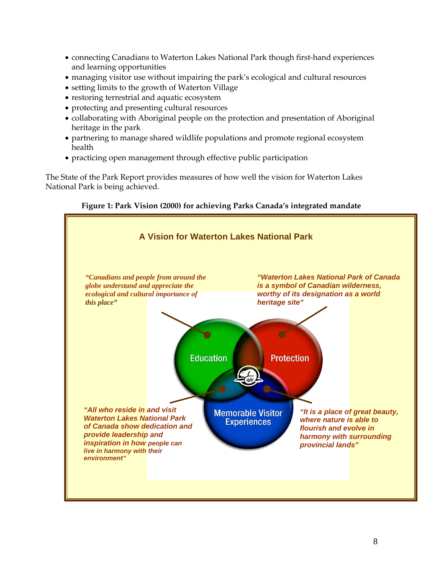- connecting Canadians to Waterton Lakes National Park though first-hand experiences and learning opportunities
- managing visitor use without impairing the park's ecological and cultural resources
- setting limits to the growth of Waterton Village
- restoring terrestrial and aquatic ecosystem
- protecting and presenting cultural resources
- collaborating with Aboriginal people on the protection and presentation of Aboriginal heritage in the park
- partnering to manage shared wildlife populations and promote regional ecosystem health
- practicing open management through effective public participation

The State of the Park Report provides measures of how well the vision for Waterton Lakes National Park is being achieved.



#### **Figure 1: Park Vision (2000) for achieving Parks Canada's integrated mandate**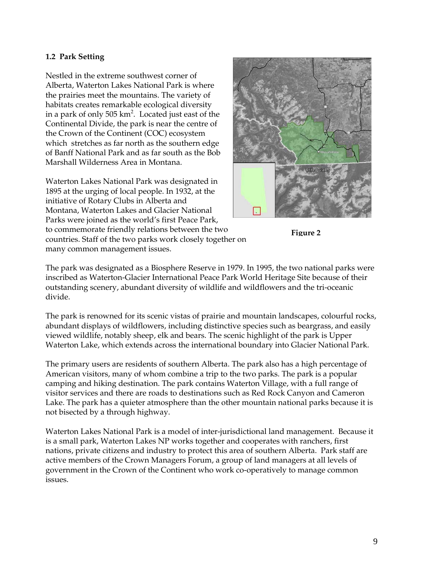#### **1.2 Park Setting**

Nestled in the extreme southwest corner of Alberta, Waterton Lakes National Park is where the prairies meet the mountains. The variety of habitats creates remarkable ecological diversity in a park of only 505  $km^2$ . Located just east of the Continental Divide, the park is near the centre of the Crown of the Continent (COC) ecosystem which stretches as far north as the southern edge of Banff National Park and as far south as the Bob Marshall Wilderness Area in Montana.

Waterton Lakes National Park was designated in 1895 at the urging of local people. In 1932, at the initiative of Rotary Clubs in Alberta and Montana, Waterton Lakes and Glacier National Parks were joined as the world's first Peace Park, to commemorate friendly relations between the two countries. Staff of the two parks work closely together on many common management issues.





The park was designated as a Biosphere Reserve in 1979. In 1995, the two national parks were inscribed as Waterton-Glacier International Peace Park World Heritage Site because of their outstanding scenery, abundant diversity of wildlife and wildflowers and the tri-oceanic divide.

The park is renowned for its scenic vistas of prairie and mountain landscapes, colourful rocks, abundant displays of wildflowers, including distinctive species such as beargrass, and easily viewed wildlife, notably sheep, elk and bears. The scenic highlight of the park is Upper Waterton Lake, which extends across the international boundary into Glacier National Park.

The primary users are residents of southern Alberta. The park also has a high percentage of American visitors, many of whom combine a trip to the two parks. The park is a popular camping and hiking destination. The park contains Waterton Village, with a full range of visitor services and there are roads to destinations such as Red Rock Canyon and Cameron Lake. The park has a quieter atmosphere than the other mountain national parks because it is not bisected by a through highway.

Waterton Lakes National Park is a model of inter-jurisdictional land management. Because it is a small park, Waterton Lakes NP works together and cooperates with ranchers, first nations, private citizens and industry to protect this area of southern Alberta. Park staff are active members of the Crown Managers Forum, a group of land managers at all levels of government in the Crown of the Continent who work co-operatively to manage common issues.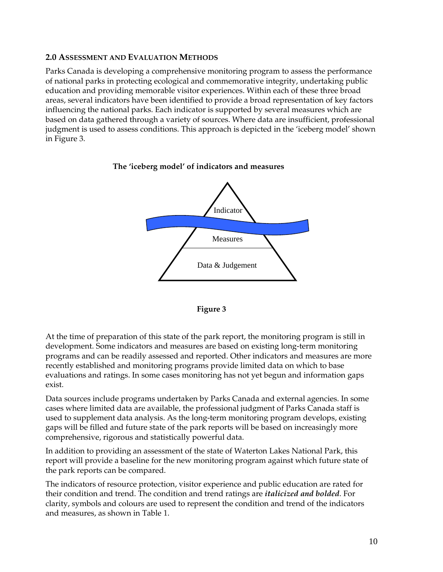# **2.0 ASSESSMENT AND EVALUATION METHODS**

Parks Canada is developing a comprehensive monitoring program to assess the performance of national parks in protecting ecological and commemorative integrity, undertaking public education and providing memorable visitor experiences. Within each of these three broad areas, several indicators have been identified to provide a broad representation of key factors influencing the national parks. Each indicator is supported by several measures which are based on data gathered through a variety of sources. Where data are insufficient, professional judgment is used to assess conditions. This approach is depicted in the 'iceberg model' shown in Figure 3.

#### **The 'iceberg model' of indicators and measures**





At the time of preparation of this state of the park report, the monitoring program is still in development. Some indicators and measures are based on existing long-term monitoring programs and can be readily assessed and reported. Other indicators and measures are more recently established and monitoring programs provide limited data on which to base evaluations and ratings. In some cases monitoring has not yet begun and information gaps exist.

Data sources include programs undertaken by Parks Canada and external agencies. In some cases where limited data are available, the professional judgment of Parks Canada staff is used to supplement data analysis. As the long-term monitoring program develops, existing gaps will be filled and future state of the park reports will be based on increasingly more comprehensive, rigorous and statistically powerful data.

In addition to providing an assessment of the state of Waterton Lakes National Park, this report will provide a baseline for the new monitoring program against which future state of the park reports can be compared.

The indicators of resource protection, visitor experience and public education are rated for their condition and trend. The condition and trend ratings are *italicized and bolded*. For clarity, symbols and colours are used to represent the condition and trend of the indicators and measures, as shown in Table 1.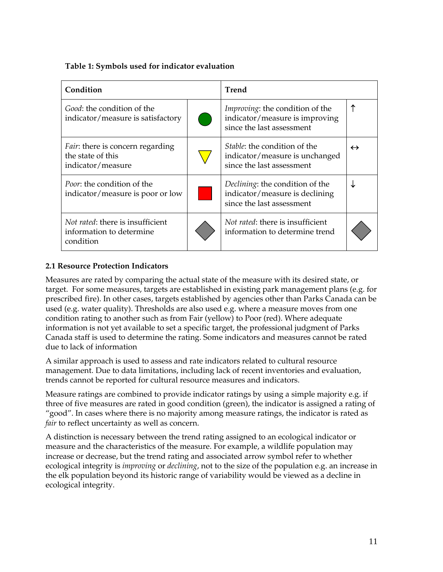|  |  | Table 1: Symbols used for indicator evaluation |
|--|--|------------------------------------------------|
|  |  |                                                |

| Condition                                                                          |  | <b>Trend</b>                                                                                           |                   |  |
|------------------------------------------------------------------------------------|--|--------------------------------------------------------------------------------------------------------|-------------------|--|
| <i>Good:</i> the condition of the<br>indicator/measure is satisfactory             |  | <i>Improving:</i> the condition of the<br>indicator/measure is improving<br>since the last assessment  |                   |  |
| <i>Fair</i> : there is concern regarding<br>the state of this<br>indicator/measure |  | <i>Stable:</i> the condition of the<br>indicator/measure is unchanged<br>since the last assessment     | $\leftrightarrow$ |  |
| <i>Poor</i> : the condition of the<br>indicator/measure is poor or low             |  | <i>Declining</i> : the condition of the<br>indicator/measure is declining<br>since the last assessment |                   |  |
| <i>Not rated:</i> there is insufficient<br>information to determine<br>condition   |  | <i>Not rated:</i> there is insufficient<br>information to determine trend                              |                   |  |

# **2.1 Resource Protection Indicators**

Measures are rated by comparing the actual state of the measure with its desired state, or target. For some measures, targets are established in existing park management plans (e.g. for prescribed fire). In other cases, targets established by agencies other than Parks Canada can be used (e.g. water quality). Thresholds are also used e.g. where a measure moves from one condition rating to another such as from Fair (yellow) to Poor (red). Where adequate information is not yet available to set a specific target, the professional judgment of Parks Canada staff is used to determine the rating. Some indicators and measures cannot be rated due to lack of information

A similar approach is used to assess and rate indicators related to cultural resource management. Due to data limitations, including lack of recent inventories and evaluation, trends cannot be reported for cultural resource measures and indicators.

Measure ratings are combined to provide indicator ratings by using a simple majority e.g. if three of five measures are rated in good condition (green), the indicator is assigned a rating of "good". In cases where there is no majority among measure ratings, the indicator is rated as *fair* to reflect uncertainty as well as concern.

A distinction is necessary between the trend rating assigned to an ecological indicator or measure and the characteristics of the measure. For example, a wildlife population may increase or decrease, but the trend rating and associated arrow symbol refer to whether ecological integrity is *improving* or *declining*, not to the size of the population e.g. an increase in the elk population beyond its historic range of variability would be viewed as a decline in ecological integrity.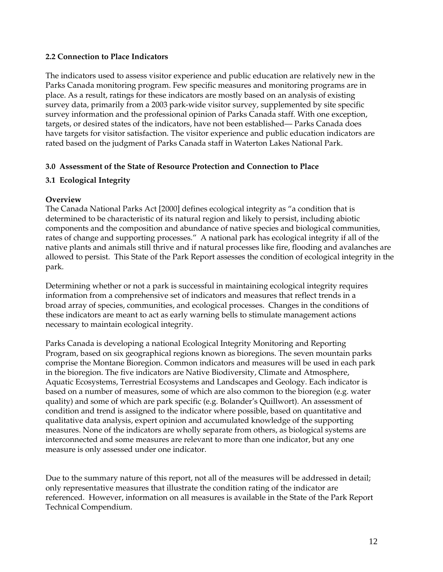#### **2.2 Connection to Place Indicators**

The indicators used to assess visitor experience and public education are relatively new in the Parks Canada monitoring program. Few specific measures and monitoring programs are in place. As a result, ratings for these indicators are mostly based on an analysis of existing survey data, primarily from a 2003 park-wide visitor survey, supplemented by site specific survey information and the professional opinion of Parks Canada staff. With one exception, targets, or desired states of the indicators, have not been established— Parks Canada does have targets for visitor satisfaction. The visitor experience and public education indicators are rated based on the judgment of Parks Canada staff in Waterton Lakes National Park.

#### **3.0 Assessment of the State of Resource Protection and Connection to Place**

# **3.1 Ecological Integrity**

# **Overview**

The Canada National Parks Act [2000] defines ecological integrity as "a condition that is determined to be characteristic of its natural region and likely to persist, including abiotic components and the composition and abundance of native species and biological communities, rates of change and supporting processes." A national park has ecological integrity if all of the native plants and animals still thrive and if natural processes like fire, flooding and avalanches are allowed to persist. This State of the Park Report assesses the condition of ecological integrity in the park.

Determining whether or not a park is successful in maintaining ecological integrity requires information from a comprehensive set of indicators and measures that reflect trends in a broad array of species, communities, and ecological processes. Changes in the conditions of these indicators are meant to act as early warning bells to stimulate management actions necessary to maintain ecological integrity.

Parks Canada is developing a national Ecological Integrity Monitoring and Reporting Program, based on six geographical regions known as bioregions. The seven mountain parks comprise the Montane Bioregion. Common indicators and measures will be used in each park in the bioregion. The five indicators are Native Biodiversity, Climate and Atmosphere, Aquatic Ecosystems, Terrestrial Ecosystems and Landscapes and Geology. Each indicator is based on a number of measures, some of which are also common to the bioregion (e.g. water quality) and some of which are park specific (e.g. Bolander's Quillwort). An assessment of condition and trend is assigned to the indicator where possible, based on quantitative and qualitative data analysis, expert opinion and accumulated knowledge of the supporting measures. None of the indicators are wholly separate from others, as biological systems are interconnected and some measures are relevant to more than one indicator, but any one measure is only assessed under one indicator.

Due to the summary nature of this report, not all of the measures will be addressed in detail; only representative measures that illustrate the condition rating of the indicator are referenced. However, information on all measures is available in the State of the Park Report Technical Compendium.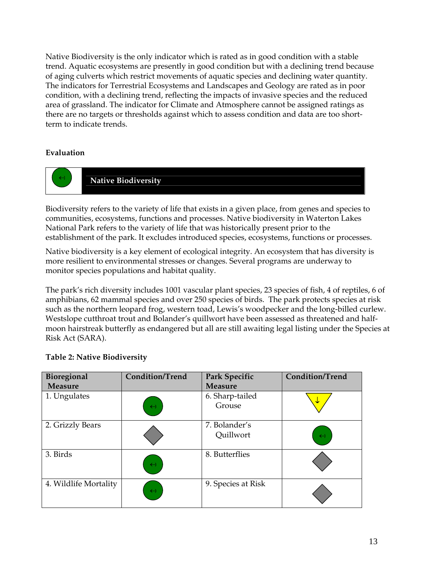Native Biodiversity is the only indicator which is rated as in good condition with a stable trend. Aquatic ecosystems are presently in good condition but with a declining trend because of aging culverts which restrict movements of aquatic species and declining water quantity. The indicators for Terrestrial Ecosystems and Landscapes and Geology are rated as in poor condition, with a declining trend, reflecting the impacts of invasive species and the reduced area of grassland. The indicator for Climate and Atmosphere cannot be assigned ratings as there are no targets or thresholds against which to assess condition and data are too shortterm to indicate trends.

# **Evaluation**



Biodiversity refers to the variety of life that exists in a given place, from genes and species to communities, ecosystems, functions and processes. Native biodiversity in Waterton Lakes National Park refers to the variety of life that was historically present prior to the establishment of the park. It excludes introduced species, ecosystems, functions or processes.

Native biodiversity is a key element of ecological integrity. An ecosystem that has diversity is more resilient to environmental stresses or changes. Several programs are underway to monitor species populations and habitat quality.

The park's rich diversity includes 1001 vascular plant species, 23 species of fish, 4 of reptiles, 6 of amphibians, 62 mammal species and over 250 species of birds. The park protects species at risk such as the northern leopard frog, western toad, Lewis's woodpecker and the long-billed curlew. Westslope cutthroat trout and Bolander's quillwort have been assessed as threatened and halfmoon hairstreak butterfly as endangered but all are still awaiting legal listing under the Species at Risk Act (SARA).

| Bioregional<br><b>Measure</b> | <b>Condition/Trend</b> | Park Specific<br><b>Measure</b> | <b>Condition/Trend</b> |
|-------------------------------|------------------------|---------------------------------|------------------------|
| 1. Ungulates                  | $\leftrightarrow$      | 6. Sharp-tailed<br>Grouse       | ₩                      |
| 2. Grizzly Bears              |                        | 7. Bolander's<br>Quillwort      | $\leftrightarrow$      |
| 3. Birds                      | $\leftrightarrow$      | 8. Butterflies                  |                        |
| 4. Wildlife Mortality         | $\leftrightarrow$      | 9. Species at Risk              |                        |

# **Table 2: Native Biodiversity**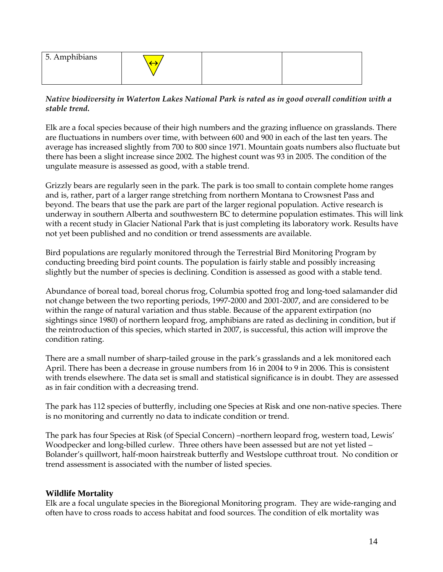| 5. Amphibians |  |  |
|---------------|--|--|
|               |  |  |

# *Native biodiversity in Waterton Lakes National Park is rated as in good overall condition with a stable trend.*

Elk are a focal species because of their high numbers and the grazing influence on grasslands. There are fluctuations in numbers over time, with between 600 and 900 in each of the last ten years. The average has increased slightly from 700 to 800 since 1971. Mountain goats numbers also fluctuate but there has been a slight increase since 2002. The highest count was 93 in 2005. The condition of the ungulate measure is assessed as good, with a stable trend.

Grizzly bears are regularly seen in the park. The park is too small to contain complete home ranges and is, rather, part of a larger range stretching from northern Montana to Crowsnest Pass and beyond. The bears that use the park are part of the larger regional population. Active research is underway in southern Alberta and southwestern BC to determine population estimates. This will link with a recent study in Glacier National Park that is just completing its laboratory work. Results have not yet been published and no condition or trend assessments are available.

Bird populations are regularly monitored through the Terrestrial Bird Monitoring Program by conducting breeding bird point counts. The population is fairly stable and possibly increasing slightly but the number of species is declining. Condition is assessed as good with a stable tend.

Abundance of boreal toad, boreal chorus frog, Columbia spotted frog and long-toed salamander did not change between the two reporting periods, 1997-2000 and 2001-2007, and are considered to be within the range of natural variation and thus stable. Because of the apparent extirpation (no sightings since 1980) of northern leopard frog, amphibians are rated as declining in condition, but if the reintroduction of this species, which started in 2007, is successful, this action will improve the condition rating.

There are a small number of sharp-tailed grouse in the park's grasslands and a lek monitored each April. There has been a decrease in grouse numbers from 16 in 2004 to 9 in 2006. This is consistent with trends elsewhere. The data set is small and statistical significance is in doubt. They are assessed as in fair condition with a decreasing trend.

The park has 112 species of butterfly, including one Species at Risk and one non-native species. There is no monitoring and currently no data to indicate condition or trend.

The park has four Species at Risk (of Special Concern) –northern leopard frog, western toad, Lewis' Woodpecker and long-billed curlew. Three others have been assessed but are not yet listed – Bolander's quillwort, half-moon hairstreak butterfly and Westslope cutthroat trout. No condition or trend assessment is associated with the number of listed species.

# **Wildlife Mortality**

Elk are a focal ungulate species in the Bioregional Monitoring program. They are wide-ranging and often have to cross roads to access habitat and food sources. The condition of elk mortality was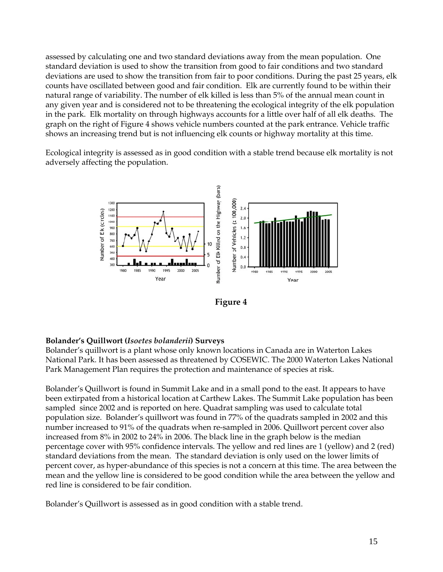assessed by calculating one and two standard deviations away from the mean population. One standard deviation is used to show the transition from good to fair conditions and two standard deviations are used to show the transition from fair to poor conditions. During the past 25 years, elk counts have oscillated between good and fair condition. Elk are currently found to be within their natural range of variability. The number of elk killed is less than 5% of the annual mean count in any given year and is considered not to be threatening the ecological integrity of the elk population in the park. Elk mortality on through highways accounts for a little over half of all elk deaths. The graph on the right of Figure 4 shows vehicle numbers counted at the park entrance. Vehicle traffic shows an increasing trend but is not influencing elk counts or highway mortality at this time.

Ecological integrity is assessed as in good condition with a stable trend because elk mortality is not adversely affecting the population.



**Figure 4**

# **Bolander's Quillwort (***Isoetes bolanderii***) Surveys**

Bolander's quillwort is a plant whose only known locations in Canada are in Waterton Lakes National Park. It has been assessed as threatened by COSEWIC. The 2000 Waterton Lakes National Park Management Plan requires the protection and maintenance of species at risk.

Bolander's Quillwort is found in Summit Lake and in a small pond to the east. It appears to have been extirpated from a historical location at Carthew Lakes. The Summit Lake population has been sampled since 2002 and is reported on here. Quadrat sampling was used to calculate total population size. Bolander's quillwort was found in 77% of the quadrats sampled in 2002 and this number increased to 91% of the quadrats when re-sampled in 2006. Quillwort percent cover also increased from 8% in 2002 to 24% in 2006. The black line in the graph below is the median percentage cover with 95% confidence intervals. The yellow and red lines are 1 (yellow) and 2 (red) standard deviations from the mean. The standard deviation is only used on the lower limits of percent cover, as hyper-abundance of this species is not a concern at this time. The area between the mean and the yellow line is considered to be good condition while the area between the yellow and red line is considered to be fair condition.

Bolander's Quillwort is assessed as in good condition with a stable trend.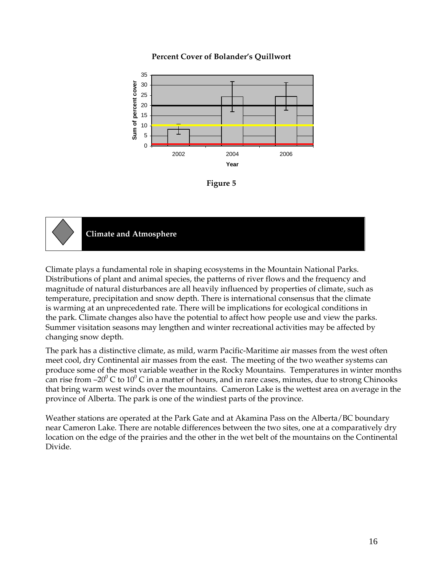

# **Percent Cover of Bolander's Quillwort**





**Climate and Atmosphere** 

Climate plays a fundamental role in shaping ecosystems in the Mountain National Parks. Distributions of plant and animal species, the patterns of river flows and the frequency and magnitude of natural disturbances are all heavily influenced by properties of climate, such as temperature, precipitation and snow depth. There is international consensus that the climate is warming at an unprecedented rate. There will be implications for ecological conditions in the park. Climate changes also have the potential to affect how people use and view the parks. Summer visitation seasons may lengthen and winter recreational activities may be affected by changing snow depth.

The park has a distinctive climate, as mild, warm Pacific-Maritime air masses from the west often meet cool, dry Continental air masses from the east. The meeting of the two weather systems can produce some of the most variable weather in the Rocky Mountains. Temperatures in winter months can rise from –20 $\rm ^0$  C to 10 $\rm ^0$  C in a matter of hours, and in rare cases, minutes, due to strong Chinooks that bring warm west winds over the mountains. Cameron Lake is the wettest area on average in the province of Alberta. The park is one of the windiest parts of the province.

Weather stations are operated at the Park Gate and at Akamina Pass on the Alberta/BC boundary near Cameron Lake. There are notable differences between the two sites, one at a comparatively dry location on the edge of the prairies and the other in the wet belt of the mountains on the Continental Divide.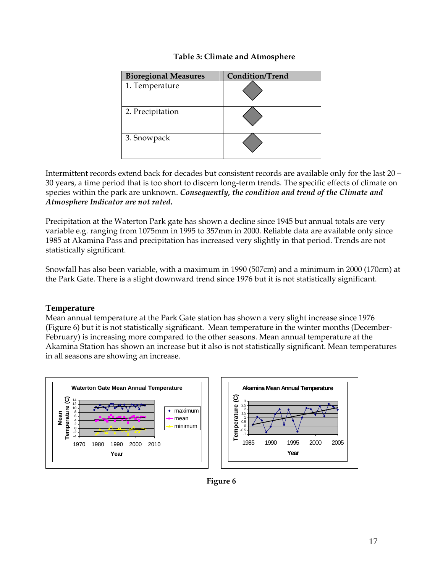| <b>Bioregional Measures</b> | <b>Condition/Trend</b> |
|-----------------------------|------------------------|
| 1. Temperature              |                        |
| 2. Precipitation            |                        |
| 3. Snowpack                 |                        |

# **Table 3: Climate and Atmosphere**

Intermittent records extend back for decades but consistent records are available only for the last 20 – 30 years, a time period that is too short to discern long-term trends. The specific effects of climate on species within the park are unknown. *Consequently, the condition and trend of the Climate and Atmosphere Indicator are not rated.*

Precipitation at the Waterton Park gate has shown a decline since 1945 but annual totals are very variable e.g. ranging from 1075mm in 1995 to 357mm in 2000. Reliable data are available only since 1985 at Akamina Pass and precipitation has increased very slightly in that period. Trends are not statistically significant.

Snowfall has also been variable, with a maximum in 1990 (507cm) and a minimum in 2000 (170cm) at the Park Gate. There is a slight downward trend since 1976 but it is not statistically significant.

# **Temperature**

Mean annual temperature at the Park Gate station has shown a very slight increase since 1976 (Figure 6) but it is not statistically significant. Mean temperature in the winter months (December-February) is increasing more compared to the other seasons. Mean annual temperature at the Akamina Station has shown an increase but it also is not statistically significant. Mean temperatures in all seasons are showing an increase.



**Figure 6**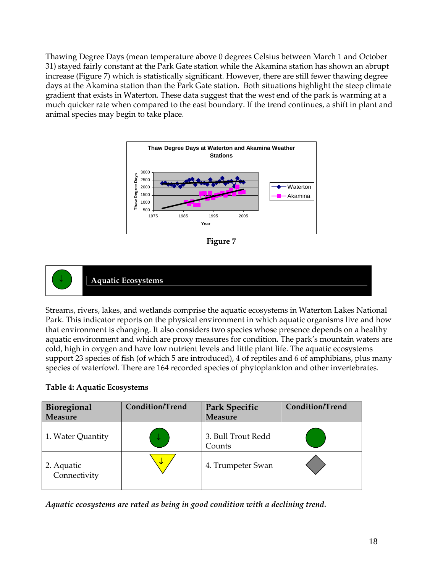Thawing Degree Days (mean temperature above 0 degrees Celsius between March 1 and October 31) stayed fairly constant at the Park Gate station while the Akamina station has shown an abrupt increase (Figure 7) which is statistically significant. However, there are still fewer thawing degree days at the Akamina station than the Park Gate station. Both situations highlight the steep climate gradient that exists in Waterton. These data suggest that the west end of the park is warming at a much quicker rate when compared to the east boundary. If the trend continues, a shift in plant and animal species may begin to take place.







Streams, rivers, lakes, and wetlands comprise the aquatic ecosystems in Waterton Lakes National Park. This indicator reports on the physical environment in which aquatic organisms live and how that environment is changing. It also considers two species whose presence depends on a healthy aquatic environment and which are proxy measures for condition. The park's mountain waters are cold, high in oxygen and have low nutrient levels and little plant life. The aquatic ecosystems support 23 species of fish (of which 5 are introduced), 4 of reptiles and 6 of amphibians, plus many species of waterfowl. There are 164 recorded species of phytoplankton and other invertebrates.

# **Table 4: Aquatic Ecosystems**

| Bioregional<br>Measure     | <b>Condition/Trend</b> | Park Specific<br><b>Measure</b> | <b>Condition/Trend</b> |
|----------------------------|------------------------|---------------------------------|------------------------|
| 1. Water Quantity          |                        | 3. Bull Trout Redd<br>Counts    |                        |
| 2. Aquatic<br>Connectivity | ₩                      | 4. Trumpeter Swan               |                        |

*Aquatic ecosystems are rated as being in good condition with a declining trend.*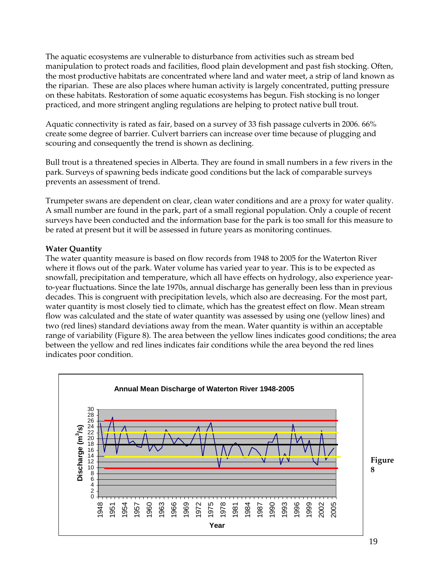The aquatic ecosystems are vulnerable to disturbance from activities such as stream bed manipulation to protect roads and facilities, flood plain development and past fish stocking. Often, the most productive habitats are concentrated where land and water meet, a strip of land known as the riparian. These are also places where human activity is largely concentrated, putting pressure on these habitats. Restoration of some aquatic ecosystems has begun. Fish stocking is no longer practiced, and more stringent angling regulations are helping to protect native bull trout.

Aquatic connectivity is rated as fair, based on a survey of 33 fish passage culverts in 2006. 66% create some degree of barrier. Culvert barriers can increase over time because of plugging and scouring and consequently the trend is shown as declining.

Bull trout is a threatened species in Alberta. They are found in small numbers in a few rivers in the park. Surveys of spawning beds indicate good conditions but the lack of comparable surveys prevents an assessment of trend.

Trumpeter swans are dependent on clear, clean water conditions and are a proxy for water quality. A small number are found in the park, part of a small regional population. Only a couple of recent surveys have been conducted and the information base for the park is too small for this measure to be rated at present but it will be assessed in future years as monitoring continues.

# **Water Quantity**

The water quantity measure is based on flow records from 1948 to 2005 for the Waterton River where it flows out of the park. Water volume has varied year to year. This is to be expected as snowfall, precipitation and temperature, which all have effects on hydrology, also experience yearto-year fluctuations. Since the late 1970s, annual discharge has generally been less than in previous decades. This is congruent with precipitation levels, which also are decreasing. For the most part, water quantity is most closely tied to climate, which has the greatest effect on flow. Mean stream flow was calculated and the state of water quantity was assessed by using one (yellow lines) and two (red lines) standard deviations away from the mean. Water quantity is within an acceptable range of variability (Figure 8). The area between the yellow lines indicates good conditions; the area between the yellow and red lines indicates fair conditions while the area beyond the red lines indicates poor condition.

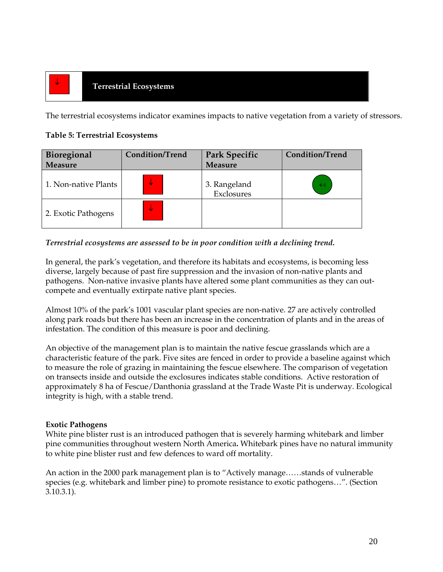# **Terrestrial Ecosystems** <sup>↓</sup>

The terrestrial ecosystems indicator examines impacts to native vegetation from a variety of stressors.

# **Table 5: Terrestrial Ecosystems**

| Bioregional<br><b>Measure</b> | <b>Condition/Trend</b> | Park Specific<br><b>Measure</b> | <b>Condition/Trend</b> |
|-------------------------------|------------------------|---------------------------------|------------------------|
| 1. Non-native Plants          |                        | 3. Rangeland<br>Exclosures      | $\leftrightarrow$      |
| 2. Exotic Pathogens           |                        |                                 |                        |

# *Terrestrial ecosystems are assessed to be in poor condition with a declining trend.*

In general, the park's vegetation, and therefore its habitats and ecosystems, is becoming less diverse, largely because of past fire suppression and the invasion of non-native plants and pathogens. Non-native invasive plants have altered some plant communities as they can outcompete and eventually extirpate native plant species.

Almost 10% of the park's 1001 vascular plant species are non-native. 27 are actively controlled along park roads but there has been an increase in the concentration of plants and in the areas of infestation. The condition of this measure is poor and declining.

An objective of the management plan is to maintain the native fescue grasslands which are a characteristic feature of the park. Five sites are fenced in order to provide a baseline against which to measure the role of grazing in maintaining the fescue elsewhere. The comparison of vegetation on transects inside and outside the exclosures indicates stable conditions. Active restoration of approximately 8 ha of Fescue/Danthonia grassland at the Trade Waste Pit is underway. Ecological integrity is high, with a stable trend.

# **Exotic Pathogens**

White pine blister rust is an introduced pathogen that is severely harming whitebark and limber pine communities throughout western North America**.** Whitebark pines have no natural immunity to white pine blister rust and few defences to ward off mortality.

An action in the 2000 park management plan is to "Actively manage……stands of vulnerable species (e.g. whitebark and limber pine) to promote resistance to exotic pathogens…". (Section 3.10.3.1).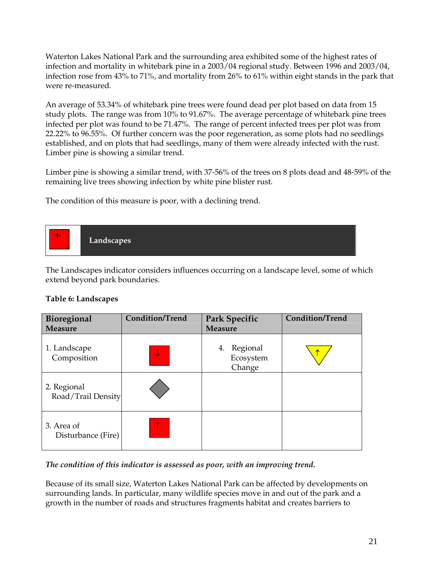Waterton Lakes National Park and the surrounding area exhibited some of the highest rates of infection and mortality in whitebark pine in a 2003/04 regional study. Between 1996 and 2003/04, infection rose from 43% to 71%, and mortality from 26% to 61% within eight stands in the park that were re-measured.

An average of 53.34% of whitebark pine trees were found dead per plot based on data from 15 study plots. The range was from 10% to 91.67%. The average percentage of whitebark pine trees infected per plot was found to be 71.47%. The range of percent infected trees per plot was from 22.22% to 96.55%. Of further concern was the poor regeneration, as some plots had no seedlings established, and on plots that had seedlings, many of them were already infected with the rust. Limber pine is showing a similar trend.

Limber pine is showing a similar trend, with 37-56% of the trees on 8 plots dead and 48-59% of the remaining live trees showing infection by white pine blister rust.

The condition of this measure is poor, with a declining trend.



The Landscapes indicator considers influences occurring on a landscape level, some of which extend beyond park boundaries.

#### **Table 6: Landscapes**

| Bioregional<br><b>Measure</b>     | <b>Condition/Trend</b> | <b>Park Specific</b><br><b>Measure</b> | <b>Condition/Trend</b> |
|-----------------------------------|------------------------|----------------------------------------|------------------------|
| 1. Landscape<br>Composition       | ↓                      | Regional<br>4.<br>Ecosystem<br>Change  |                        |
| 2. Regional<br>Road/Trail Density |                        |                                        |                        |
| 3. Area of<br>Disturbance (Fire)  | ↑                      |                                        |                        |

# *The condition of this indicator is assessed as poor, with an improving trend.*

Because of its small size, Waterton Lakes National Park can be affected by developments on surrounding lands. In particular, many wildlife species move in and out of the park and a growth in the number of roads and structures fragments habitat and creates barriers to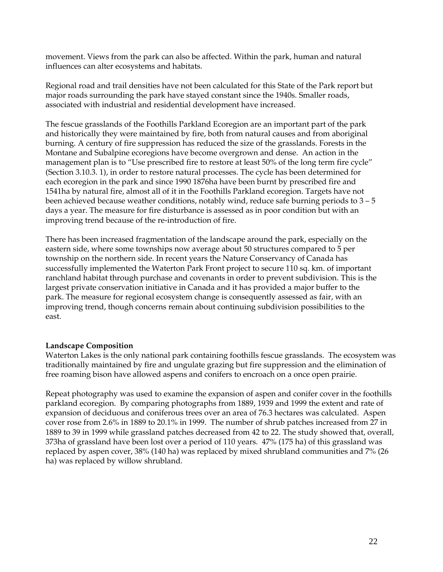movement. Views from the park can also be affected. Within the park, human and natural influences can alter ecosystems and habitats.

Regional road and trail densities have not been calculated for this State of the Park report but major roads surrounding the park have stayed constant since the 1940s. Smaller roads, associated with industrial and residential development have increased.

The fescue grasslands of the Foothills Parkland Ecoregion are an important part of the park and historically they were maintained by fire, both from natural causes and from aboriginal burning. A century of fire suppression has reduced the size of the grasslands. Forests in the Montane and Subalpine ecoregions have become overgrown and dense. An action in the management plan is to "Use prescribed fire to restore at least 50% of the long term fire cycle" (Section 3.10.3. 1), in order to restore natural processes. The cycle has been determined for each ecoregion in the park and since 1990 1876ha have been burnt by prescribed fire and 1541ha by natural fire, almost all of it in the Foothills Parkland ecoregion. Targets have not been achieved because weather conditions, notably wind, reduce safe burning periods to  $3 - 5$ days a year. The measure for fire disturbance is assessed as in poor condition but with an improving trend because of the re-introduction of fire.

There has been increased fragmentation of the landscape around the park, especially on the eastern side, where some townships now average about 50 structures compared to 5 per township on the northern side. In recent years the Nature Conservancy of Canada has successfully implemented the Waterton Park Front project to secure 110 sq. km. of important ranchland habitat through purchase and covenants in order to prevent subdivision. This is the largest private conservation initiative in Canada and it has provided a major buffer to the park. The measure for regional ecosystem change is consequently assessed as fair, with an improving trend, though concerns remain about continuing subdivision possibilities to the east.

#### **Landscape Composition**

Waterton Lakes is the only national park containing foothills fescue grasslands. The ecosystem was traditionally maintained by fire and ungulate grazing but fire suppression and the elimination of free roaming bison have allowed aspens and conifers to encroach on a once open prairie.

Repeat photography was used to examine the expansion of aspen and conifer cover in the foothills parkland ecoregion. By comparing photographs from 1889, 1939 and 1999 the extent and rate of expansion of deciduous and coniferous trees over an area of 76.3 hectares was calculated. Aspen cover rose from 2.6% in 1889 to 20.1% in 1999. The number of shrub patches increased from 27 in 1889 to 39 in 1999 while grassland patches decreased from 42 to 22. The study showed that, overall, 373ha of grassland have been lost over a period of 110 years. 47% (175 ha) of this grassland was replaced by aspen cover, 38% (140 ha) was replaced by mixed shrubland communities and 7% (26 ha) was replaced by willow shrubland.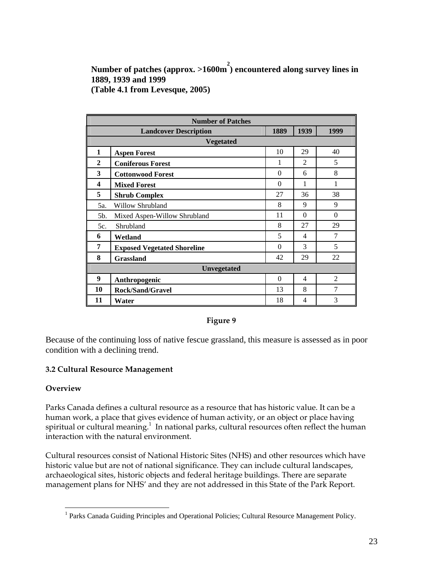**Number of patches (approx. >1600m 2 ) encountered along survey lines in 1889, 1939 and 1999 (Table 4.1 from Levesque, 2005)** 

| <b>Number of Patches</b> |                                                      |          |                          |                |  |
|--------------------------|------------------------------------------------------|----------|--------------------------|----------------|--|
|                          | 1939<br>1889<br>1999<br><b>Landcover Description</b> |          |                          |                |  |
|                          | <b>Vegetated</b>                                     |          |                          |                |  |
| $\mathbf{1}$             | <b>Aspen Forest</b>                                  | 10       | 29                       | 40             |  |
| $\mathbf{2}$             | <b>Coniferous Forest</b>                             | 1        | $\overline{2}$           | 5              |  |
| 3                        | <b>Cottonwood Forest</b>                             | $\Omega$ | 6                        | 8              |  |
| 4                        | <b>Mixed Forest</b>                                  | $\Omega$ | 1                        | 1              |  |
| 5                        | <b>Shrub Complex</b>                                 | 27       | 36                       | 38             |  |
| 5a.                      | Willow Shrubland                                     | 8        | 9                        | 9              |  |
| 5b.                      | Mixed Aspen-Willow Shrubland                         | 11       | $\Omega$                 | $\Omega$       |  |
| 5c.                      | Shrubland                                            | 8        | 27                       | 29             |  |
| 6                        | Wetland                                              | 5        | 4                        | 7              |  |
| 7                        | <b>Exposed Vegetated Shoreline</b>                   | $\Omega$ | 3                        | 5              |  |
| 8                        | <b>Grassland</b>                                     | 42       | 29                       | 22             |  |
| <b>Unvegetated</b>       |                                                      |          |                          |                |  |
| 9                        | Anthropogenic                                        | $\Omega$ | $\overline{\mathcal{A}}$ | $\mathfrak{D}$ |  |
| 10                       | <b>Rock/Sand/Gravel</b>                              | 13       | 8                        | 7              |  |
| 11                       | Water                                                | 18       | 4                        | 3              |  |

#### **Figure 9**

Because of the continuing loss of native fescue grassland, this measure is assessed as in poor condition with a declining trend.

#### **3.2 Cultural Resource Management**

#### **Overview**

Parks Canada defines a cultural resource as a resource that has historic value. It can be a human work, a place that gives evidence of human activity, or an object or place having spiritual or cultural meaning. $^{\rm 1}$  In national parks, cultural resources often reflect the human interaction with the natural environment.

Cultural resources consist of National Historic Sites (NHS) and other resources which have historic value but are not of national significance. They can include cultural landscapes, archaeological sites, historic objects and federal heritage buildings. There are separate management plans for NHS' and they are not addressed in this State of the Park Report.

<span id="page-22-0"></span><sup>&</sup>lt;sup>1</sup> Parks Canada Guiding Principles and Operational Policies; Cultural Resource Management Policy.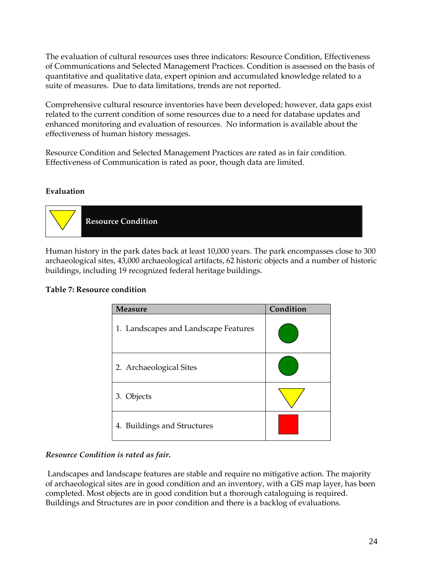The evaluation of cultural resources uses three indicators: Resource Condition, Effectiveness of Communications and Selected Management Practices. Condition is assessed on the basis of quantitative and qualitative data, expert opinion and accumulated knowledge related to a suite of measures. Due to data limitations, trends are not reported.

Comprehensive cultural resource inventories have been developed; however, data gaps exist related to the current condition of some resources due to a need for database updates and enhanced monitoring and evaluation of resources. No information is available about the effectiveness of human history messages.

Resource Condition and Selected Management Practices are rated as in fair condition. Effectiveness of Communication is rated as poor, though data are limited.

# **Evaluation**



Human history in the park dates back at least 10,000 years. The park encompasses close to 300 archaeological sites, 43,000 archaeological artifacts, 62 historic objects and a number of historic buildings, including 19 recognized federal heritage buildings.

| <b>Measure</b>                       | Condition |
|--------------------------------------|-----------|
| 1. Landscapes and Landscape Features |           |
| 2. Archaeological Sites              |           |
| 3. Objects                           |           |
| 4. Buildings and Structures          |           |

# **Table 7: Resource condition**

#### *Resource Condition is rated as fair.*

 Landscapes and landscape features are stable and require no mitigative action. The majority of archaeological sites are in good condition and an inventory, with a GIS map layer, has been completed. Most objects are in good condition but a thorough cataloguing is required. Buildings and Structures are in poor condition and there is a backlog of evaluations.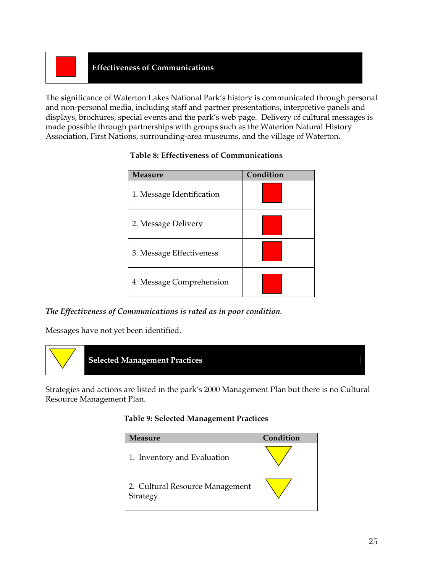# **Effectiveness of Communications**

The significance of Waterton Lakes National Park's history is communicated through personal and non-personal media, including staff and partner presentations, interpretive panels and displays, brochures, special events and the park's web page. Delivery of cultural messages is made possible through partnerships with groups such as the Waterton Natural History Association, First Nations, surrounding-area museums, and the village of Waterton.

| <b>Measure</b>            | Condition |
|---------------------------|-----------|
| 1. Message Identification |           |
| 2. Message Delivery       |           |
| 3. Message Effectiveness  |           |
| 4. Message Comprehension  |           |

# **Table 8: Effectiveness of Communications**

#### *The Effectiveness of Communications is rated as in poor condition.*

Messages have not yet been identified.



Strategies and actions are listed in the park's 2000 Management Plan but there is no Cultural Resource Management Plan.

#### **Table 9: Selected Management Practices**

| <b>Measure</b>                              | Condition |
|---------------------------------------------|-----------|
| 1. Inventory and Evaluation                 |           |
| 2. Cultural Resource Management<br>Strategy |           |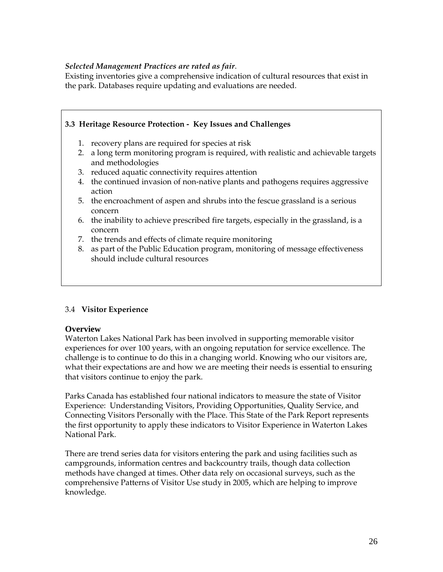#### *Selected Management Practices are rated as fair*.

Existing inventories give a comprehensive indication of cultural resources that exist in the park. Databases require updating and evaluations are needed.

# **3.3 Heritage Resource Protection - Key Issues and Challenges**

- 1. recovery plans are required for species at risk
- 2. a long term monitoring program is required, with realistic and achievable targets and methodologies
- 3. reduced aquatic connectivity requires attention
- 4. the continued invasion of non-native plants and pathogens requires aggressive action
- 5. the encroachment of aspen and shrubs into the fescue grassland is a serious concern
- 6. the inability to achieve prescribed fire targets, especially in the grassland, is a concern
- 7. the trends and effects of climate require monitoring
- 8. as part of the Public Education program, monitoring of message effectiveness should include cultural resources

# 3.4 **Visitor Experience**

#### **Overview**

Waterton Lakes National Park has been involved in supporting memorable visitor experiences for over 100 years, with an ongoing reputation for service excellence. The challenge is to continue to do this in a changing world. Knowing who our visitors are, what their expectations are and how we are meeting their needs is essential to ensuring that visitors continue to enjoy the park.

Parks Canada has established four national indicators to measure the state of Visitor Experience: Understanding Visitors, Providing Opportunities, Quality Service, and Connecting Visitors Personally with the Place. This State of the Park Report represents the first opportunity to apply these indicators to Visitor Experience in Waterton Lakes National Park.

There are trend series data for visitors entering the park and using facilities such as campgrounds, information centres and backcountry trails, though data collection methods have changed at times. Other data rely on occasional surveys, such as the comprehensive Patterns of Visitor Use study in 2005, which are helping to improve knowledge.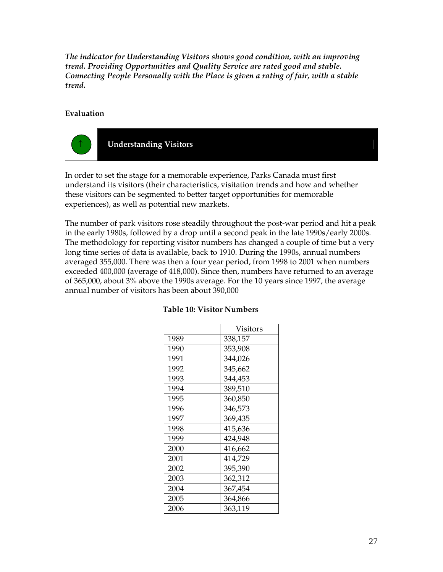*The indicator for Understanding Visitors shows good condition, with an improving trend. Providing Opportunities and Quality Service are rated good and stable. Connecting People Personally with the Place is given a rating of fair, with a stable trend.* 

# **Evaluation**



In order to set the stage for a memorable experience, Parks Canada must first understand its visitors (their characteristics, visitation trends and how and whether these visitors can be segmented to better target opportunities for memorable experiences), as well as potential new markets.

The number of park visitors rose steadily throughout the post-war period and hit a peak in the early 1980s, followed by a drop until a second peak in the late 1990s/early 2000s. The methodology for reporting visitor numbers has changed a couple of time but a very long time series of data is available, back to 1910. During the 1990s, annual numbers averaged 355,000. There was then a four year period, from 1998 to 2001 when numbers exceeded 400,000 (average of 418,000). Since then, numbers have returned to an average of 365,000, about 3% above the 1990s average. For the 10 years since 1997, the average annual number of visitors has been about 390,000

|      | Visitors |
|------|----------|
| 1989 | 338,157  |
| 1990 | 353,908  |
| 1991 | 344,026  |
| 1992 | 345,662  |
| 1993 | 344,453  |
| 1994 | 389,510  |
| 1995 | 360,850  |
| 1996 | 346,573  |
| 1997 | 369,435  |
| 1998 | 415,636  |
| 1999 | 424,948  |
| 2000 | 416,662  |
| 2001 | 414,729  |
| 2002 | 395,390  |
| 2003 | 362,312  |
| 2004 | 367,454  |
| 2005 | 364,866  |
| 2006 | 363,119  |

#### **Table 10: Visitor Numbers**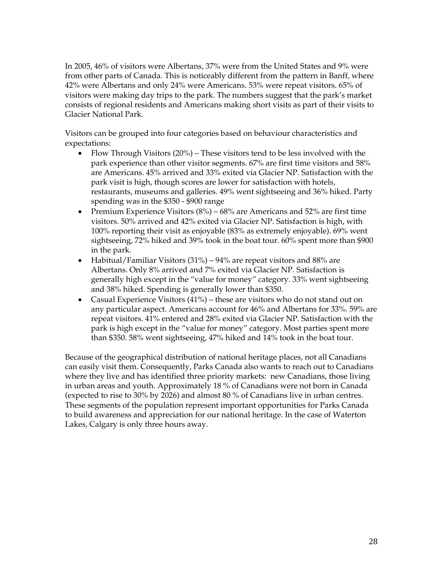In 2005, 46% of visitors were Albertans, 37% were from the United States and 9% were from other parts of Canada. This is noticeably different from the pattern in Banff, where 42% were Albertans and only 24% were Americans. 53% were repeat visitors. 65% of visitors were making day trips to the park. The numbers suggest that the park's market consists of regional residents and Americans making short visits as part of their visits to Glacier National Park.

Visitors can be grouped into four categories based on behaviour characteristics and expectations:

- Flow Through Visitors (20%) These visitors tend to be less involved with the park experience than other visitor segments. 67% are first time visitors and 58% are Americans. 45% arrived and 33% exited via Glacier NP. Satisfaction with the park visit is high, though scores are lower for satisfaction with hotels, restaurants, museums and galleries. 49% went sightseeing and 36% hiked. Party spending was in the \$350 - \$900 range
- Premium Experience Visitors (8%) 68% are Americans and 52% are first time visitors. 50% arrived and 42% exited via Glacier NP. Satisfaction is high, with 100% reporting their visit as enjoyable (83% as extremely enjoyable). 69% went sightseeing, 72% hiked and 39% took in the boat tour. 60% spent more than \$900 in the park.
- Habitual/Familiar Visitors (31%) 94% are repeat visitors and 88% are Albertans. Only 8% arrived and 7% exited via Glacier NP. Satisfaction is generally high except in the "value for money" category. 33% went sightseeing and 38% hiked. Spending is generally lower than \$350.
- Casual Experience Visitors  $(41\%)$  these are visitors who do not stand out on any particular aspect. Americans account for 46% and Albertans for 33%. 59% are repeat visitors. 41% entered and 28% exited via Glacier NP. Satisfaction with the park is high except in the "value for money" category. Most parties spent more than \$350. 58% went sightseeing, 47% hiked and 14% took in the boat tour.

Because of the geographical distribution of national heritage places, not all Canadians can easily visit them. Consequently, Parks Canada also wants to reach out to Canadians where they live and has identified three priority markets: new Canadians, those living in urban areas and youth. Approximately 18 % of Canadians were not born in Canada (expected to rise to 30% by 2026) and almost 80 % of Canadians live in urban centres. These segments of the population represent important opportunities for Parks Canada to build awareness and appreciation for our national heritage. In the case of Waterton Lakes, Calgary is only three hours away.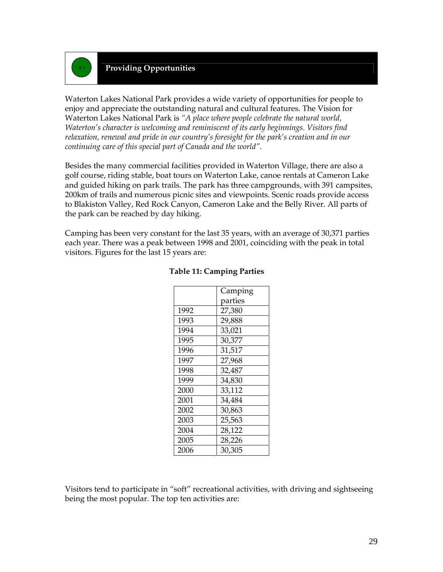

# ↔ **Providing Opportunities**

Waterton Lakes National Park provides a wide variety of opportunities for people to enjoy and appreciate the outstanding natural and cultural features. The Vision for Waterton Lakes National Park is *"A place where people celebrate the natural world, Waterton's character is welcoming and reminiscent of its early beginnings. Visitors find relaxation, renewal and pride in our country's foresight for the park's creation and in our continuing care of this special part of Canada and the world".* 

Besides the many commercial facilities provided in Waterton Village, there are also a golf course, riding stable, boat tours on Waterton Lake, canoe rentals at Cameron Lake and guided hiking on park trails. The park has three campgrounds, with 391 campsites, 200km of trails and numerous picnic sites and viewpoints. Scenic roads provide access to Blakiston Valley, Red Rock Canyon, Cameron Lake and the Belly River. All parts of the park can be reached by day hiking.

Camping has been very constant for the last 35 years, with an average of 30,371 parties each year. There was a peak between 1998 and 2001, coinciding with the peak in total visitors. Figures for the last 15 years are:

|      | Camping |
|------|---------|
|      | parties |
| 1992 | 27,380  |
| 1993 | 29,888  |
| 1994 | 33,021  |
| 1995 | 30,377  |
| 1996 | 31,517  |
| 1997 | 27,968  |
| 1998 | 32,487  |
| 1999 | 34,830  |
| 2000 | 33,112  |
| 2001 | 34,484  |
| 2002 | 30,863  |
| 2003 | 25,563  |
| 2004 | 28,122  |
| 2005 | 28,226  |
| 2006 | 30,305  |

#### **Table 11: Camping Parties**

Visitors tend to participate in "soft" recreational activities, with driving and sightseeing being the most popular. The top ten activities are: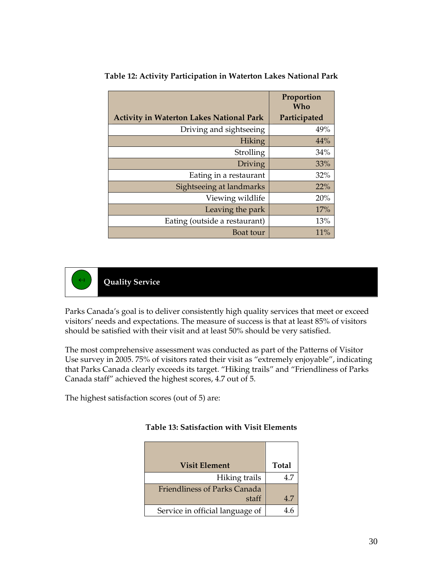|                                                 | Proportion<br>Who |
|-------------------------------------------------|-------------------|
| <b>Activity in Waterton Lakes National Park</b> | Participated      |
| Driving and sightseeing                         | 49%               |
| <b>Hiking</b>                                   | 44%               |
| Strolling                                       | 34%               |
| <b>Driving</b>                                  | 33%               |
| Eating in a restaurant                          | 32%               |
| Sightseeing at landmarks                        | 22%               |
| Viewing wildlife                                | 20%               |
| Leaving the park                                | 17%               |
| Eating (outside a restaurant)                   | 13%               |
| Boat tour                                       | 11%               |

#### **Table 12: Activity Participation in Waterton Lakes National Park**



 **Quality Service** 

Parks Canada's goal is to deliver consistently high quality services that meet or exceed visitors' needs and expectations. The measure of success is that at least 85% of visitors should be satisfied with their visit and at least 50% should be very satisfied.

The most comprehensive assessment was conducted as part of the Patterns of Visitor Use survey in 2005. 75% of visitors rated their visit as "extremely enjoyable", indicating that Parks Canada clearly exceeds its target. "Hiking trails" and "Friendliness of Parks Canada staff" achieved the highest scores, 4.7 out of 5.

The highest satisfaction scores (out of 5) are:

| <b>Visit Element</b>            | Total |
|---------------------------------|-------|
| Hiking trails                   |       |
| Friendliness of Parks Canada    |       |
| staff                           |       |
| Service in official language of |       |

#### **Table 13: Satisfaction with Visit Elements**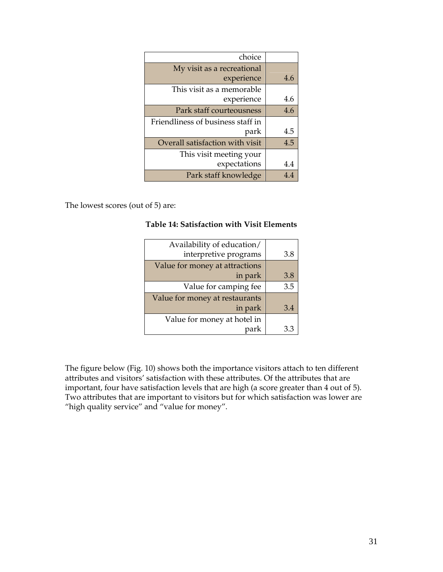| choice                            |     |
|-----------------------------------|-----|
| My visit as a recreational        |     |
| experience                        | 4.6 |
| This visit as a memorable         |     |
| experience                        | 4.6 |
| Park staff courteousness          | 4.6 |
| Friendliness of business staff in |     |
| park                              | 4.5 |
| Overall satisfaction with visit   | 4.5 |
| This visit meeting your           |     |
| expectations                      | 4.4 |
| Park staff knowledge              | 4.4 |

The lowest scores (out of 5) are:

# **Table 14: Satisfaction with Visit Elements**

| Availability of education/     |     |
|--------------------------------|-----|
| interpretive programs          | 3.8 |
| Value for money at attractions |     |
| in park                        | 3.8 |
| Value for camping fee          | 3.5 |
| Value for money at restaurants |     |
| in park                        | 3.4 |
| Value for money at hotel in    |     |
| park                           | 33  |

The figure below (Fig. 10) shows both the importance visitors attach to ten different attributes and visitors' satisfaction with these attributes. Of the attributes that are important, four have satisfaction levels that are high (a score greater than 4 out of 5). Two attributes that are important to visitors but for which satisfaction was lower are "high quality service" and "value for money".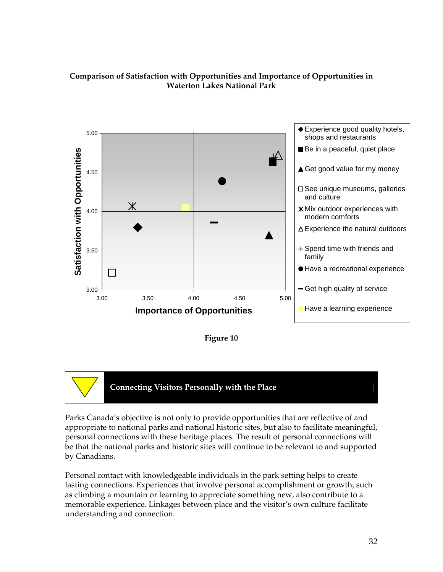# **Comparison of Satisfaction with Opportunities and Importance of Opportunities in Waterton Lakes National Park**







 **Connecting Visitors Personally with the Place** 

Parks Canada's objective is not only to provide opportunities that are reflective of and appropriate to national parks and national historic sites, but also to facilitate meaningful, personal connections with these heritage places. The result of personal connections will be that the national parks and historic sites will continue to be relevant to and supported by Canadians.

Personal contact with knowledgeable individuals in the park setting helps to create lasting connections. Experiences that involve personal accomplishment or growth, such as climbing a mountain or learning to appreciate something new, also contribute to a memorable experience. Linkages between place and the visitor's own culture facilitate understanding and connection.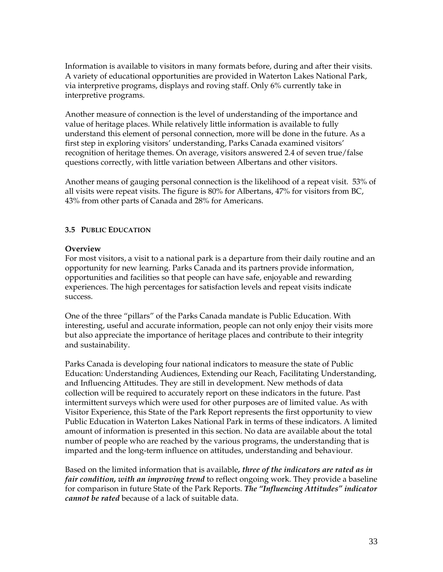Information is available to visitors in many formats before, during and after their visits. A variety of educational opportunities are provided in Waterton Lakes National Park, via interpretive programs, displays and roving staff. Only 6% currently take in interpretive programs.

Another measure of connection is the level of understanding of the importance and value of heritage places. While relatively little information is available to fully understand this element of personal connection, more will be done in the future. As a first step in exploring visitors' understanding, Parks Canada examined visitors' recognition of heritage themes. On average, visitors answered 2.4 of seven true/false questions correctly, with little variation between Albertans and other visitors.

Another means of gauging personal connection is the likelihood of a repeat visit. 53% of all visits were repeat visits. The figure is 80% for Albertans, 47% for visitors from BC, 43% from other parts of Canada and 28% for Americans.

#### **3.5 PUBLIC EDUCATION**

#### **Overview**

For most visitors, a visit to a national park is a departure from their daily routine and an opportunity for new learning. Parks Canada and its partners provide information, opportunities and facilities so that people can have safe, enjoyable and rewarding experiences. The high percentages for satisfaction levels and repeat visits indicate success.

One of the three "pillars" of the Parks Canada mandate is Public Education. With interesting, useful and accurate information, people can not only enjoy their visits more but also appreciate the importance of heritage places and contribute to their integrity and sustainability.

Parks Canada is developing four national indicators to measure the state of Public Education: Understanding Audiences, Extending our Reach, Facilitating Understanding, and Influencing Attitudes. They are still in development. New methods of data collection will be required to accurately report on these indicators in the future. Past intermittent surveys which were used for other purposes are of limited value. As with Visitor Experience, this State of the Park Report represents the first opportunity to view Public Education in Waterton Lakes National Park in terms of these indicators. A limited amount of information is presented in this section. No data are available about the total number of people who are reached by the various programs, the understanding that is imparted and the long-term influence on attitudes, understanding and behaviour.

Based on the limited information that is available*, three of the indicators are rated as in fair condition, with an improving trend* to reflect ongoing work. They provide a baseline for comparison in future State of the Park Reports. *The "Influencing Attitudes" indicator cannot be rated* because of a lack of suitable data.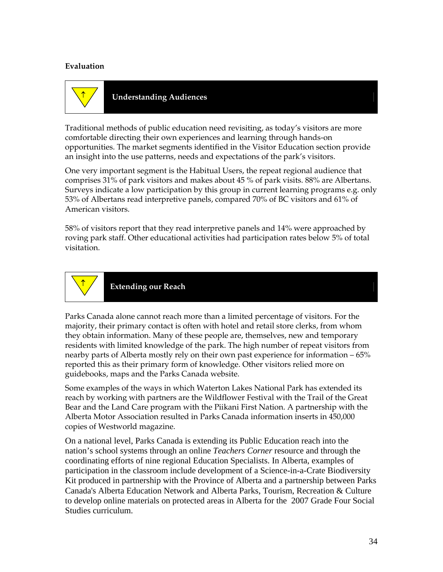#### **Evaluation**



↑ **Understanding Audiences** 

Traditional methods of public education need revisiting, as today's visitors are more comfortable directing their own experiences and learning through hands-on opportunities. The market segments identified in the Visitor Education section provide an insight into the use patterns, needs and expectations of the park's visitors.

One very important segment is the Habitual Users, the repeat regional audience that comprises 31% of park visitors and makes about 45 % of park visits. 88% are Albertans. Surveys indicate a low participation by this group in current learning programs e.g. only 53% of Albertans read interpretive panels, compared 70% of BC visitors and 61% of American visitors.

58% of visitors report that they read interpretive panels and 14% were approached by roving park staff. Other educational activities had participation rates below 5% of total visitation.



**Extending our Reach** 

Parks Canada alone cannot reach more than a limited percentage of visitors. For the majority, their primary contact is often with hotel and retail store clerks, from whom they obtain information. Many of these people are, themselves, new and temporary residents with limited knowledge of the park. The high number of repeat visitors from nearby parts of Alberta mostly rely on their own past experience for information – 65% reported this as their primary form of knowledge. Other visitors relied more on guidebooks, maps and the Parks Canada website.

Some examples of the ways in which Waterton Lakes National Park has extended its reach by working with partners are the Wildflower Festival with the Trail of the Great Bear and the Land Care program with the Piikani First Nation. A partnership with the Alberta Motor Association resulted in Parks Canada information inserts in 450,000 copies of Westworld magazine.

On a national level, Parks Canada is extending its Public Education reach into the nation's school systems through an online *Teachers Corner* resource and through the coordinating efforts of nine regional Education Specialists. In Alberta, examples of participation in the classroom include development of a Science-in-a-Crate Biodiversity Kit produced in partnership with the Province of Alberta and a partnership between Parks Canada's Alberta Education Network and Alberta Parks, Tourism, Recreation & Culture to develop online materials on protected areas in Alberta for the 2007 Grade Four Social Studies curriculum.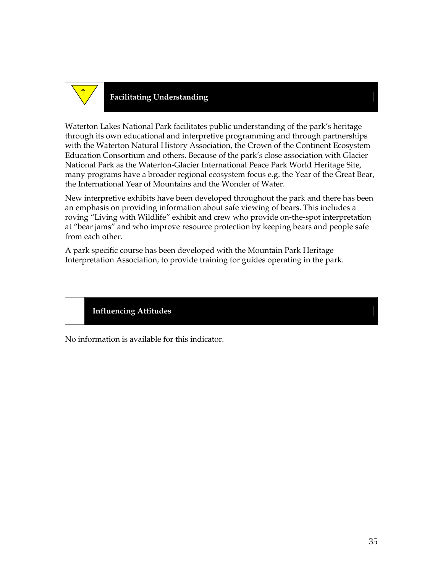

# **Facilitating Understanding** <sup>↑</sup>

Waterton Lakes National Park facilitates public understanding of the park's heritage through its own educational and interpretive programming and through partnerships with the Waterton Natural History Association, the Crown of the Continent Ecosystem Education Consortium and others. Because of the park's close association with Glacier National Park as the Waterton-Glacier International Peace Park World Heritage Site, many programs have a broader regional ecosystem focus e.g. the Year of the Great Bear, the International Year of Mountains and the Wonder of Water.

New interpretive exhibits have been developed throughout the park and there has been an emphasis on providing information about safe viewing of bears. This includes a roving "Living with Wildlife" exhibit and crew who provide on-the-spot interpretation at "bear jams" and who improve resource protection by keeping bears and people safe from each other.

A park specific course has been developed with the Mountain Park Heritage Interpretation Association, to provide training for guides operating in the park.

# **Influencing Attitudes**

No information is available for this indicator.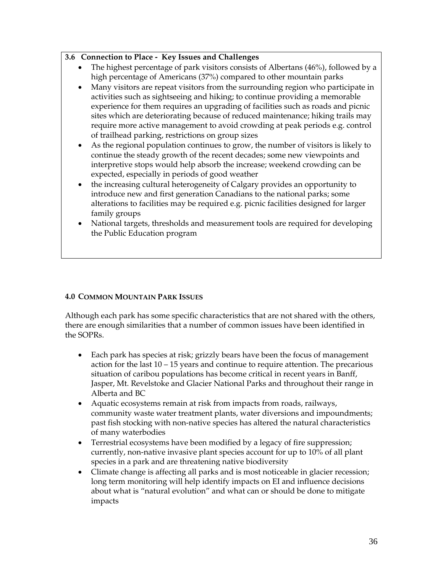# **3.6 Connection to Place - Key Issues and Challenges**

- The highest percentage of park visitors consists of Albertans (46%), followed by a high percentage of Americans (37%) compared to other mountain parks
- Many visitors are repeat visitors from the surrounding region who participate in activities such as sightseeing and hiking; to continue providing a memorable experience for them requires an upgrading of facilities such as roads and picnic sites which are deteriorating because of reduced maintenance; hiking trails may require more active management to avoid crowding at peak periods e.g. control of trailhead parking, restrictions on group sizes
- As the regional population continues to grow, the number of visitors is likely to continue the steady growth of the recent decades; some new viewpoints and interpretive stops would help absorb the increase; weekend crowding can be expected, especially in periods of good weather
- the increasing cultural heterogeneity of Calgary provides an opportunity to introduce new and first generation Canadians to the national parks; some alterations to facilities may be required e.g. picnic facilities designed for larger family groups
- National targets, thresholds and measurement tools are required for developing the Public Education program

# **4.0 COMMON MOUNTAIN PARK ISSUES**

Although each park has some specific characteristics that are not shared with the others, there are enough similarities that a number of common issues have been identified in the SOPRs.

- Each park has species at risk; grizzly bears have been the focus of management action for the last  $10 - 15$  years and continue to require attention. The precarious situation of caribou populations has become critical in recent years in Banff, Jasper, Mt. Revelstoke and Glacier National Parks and throughout their range in Alberta and BC
- Aquatic ecosystems remain at risk from impacts from roads, railways, community waste water treatment plants, water diversions and impoundments; past fish stocking with non-native species has altered the natural characteristics of many waterbodies
- Terrestrial ecosystems have been modified by a legacy of fire suppression; currently, non-native invasive plant species account for up to 10% of all plant species in a park and are threatening native biodiversity
- Climate change is affecting all parks and is most noticeable in glacier recession; long term monitoring will help identify impacts on EI and influence decisions about what is "natural evolution" and what can or should be done to mitigate impacts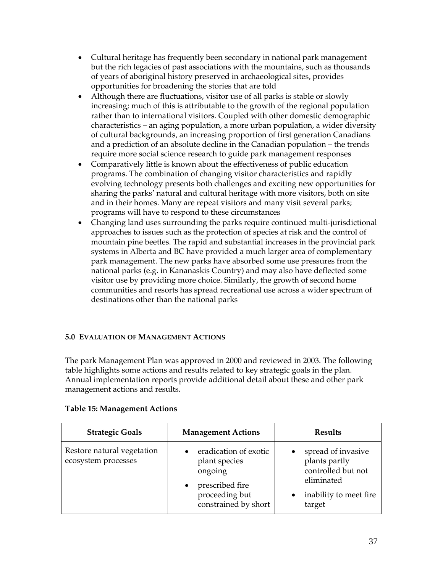- Cultural heritage has frequently been secondary in national park management but the rich legacies of past associations with the mountains, such as thousands of years of aboriginal history preserved in archaeological sites, provides opportunities for broadening the stories that are told
- Although there are fluctuations, visitor use of all parks is stable or slowly increasing; much of this is attributable to the growth of the regional population rather than to international visitors. Coupled with other domestic demographic characteristics – an aging population, a more urban population, a wider diversity of cultural backgrounds, an increasing proportion of first generation Canadians and a prediction of an absolute decline in the Canadian population – the trends require more social science research to guide park management responses
- Comparatively little is known about the effectiveness of public education programs. The combination of changing visitor characteristics and rapidly evolving technology presents both challenges and exciting new opportunities for sharing the parks' natural and cultural heritage with more visitors, both on site and in their homes. Many are repeat visitors and many visit several parks; programs will have to respond to these circumstances
- Changing land uses surrounding the parks require continued multi-jurisdictional approaches to issues such as the protection of species at risk and the control of mountain pine beetles. The rapid and substantial increases in the provincial park systems in Alberta and BC have provided a much larger area of complementary park management. The new parks have absorbed some use pressures from the national parks (e.g. in Kananaskis Country) and may also have deflected some visitor use by providing more choice. Similarly, the growth of second home communities and resorts has spread recreational use across a wider spectrum of destinations other than the national parks

# **5.0 EVALUATION OF MANAGEMENT ACTIONS**

The park Management Plan was approved in 2000 and reviewed in 2003. The following table highlights some actions and results related to key strategic goals in the plan. Annual implementation reports provide additional detail about these and other park management actions and results.

| <b>Strategic Goals</b>                            | <b>Management Actions</b>                                                                                                   | <b>Results</b>                                                                                              |
|---------------------------------------------------|-----------------------------------------------------------------------------------------------------------------------------|-------------------------------------------------------------------------------------------------------------|
| Restore natural vegetation<br>ecosystem processes | eradication of exotic<br>plant species<br>ongoing<br>prescribed fire<br>$\bullet$<br>proceeding but<br>constrained by short | spread of invasive<br>plants partly<br>controlled but not<br>eliminated<br>inability to meet fire<br>target |

#### **Table 15: Management Actions**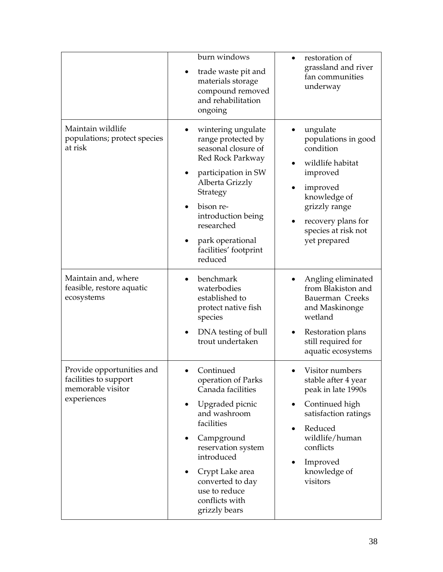|                                                                                        | burn windows<br>trade waste pit and<br>materials storage<br>compound removed<br>and rehabilitation<br>ongoing                                                                                                                                                   | restoration of<br>grassland and river<br>fan communities<br>underway                                                                                                                          |
|----------------------------------------------------------------------------------------|-----------------------------------------------------------------------------------------------------------------------------------------------------------------------------------------------------------------------------------------------------------------|-----------------------------------------------------------------------------------------------------------------------------------------------------------------------------------------------|
| Maintain wildlife<br>populations; protect species<br>at risk                           | wintering ungulate<br>range protected by<br>seasonal closure of<br>Red Rock Parkway<br>participation in SW<br>Alberta Grizzly<br>Strategy<br>bison re-<br>introduction being<br>researched<br>park operational<br>$\bullet$<br>facilities' footprint<br>reduced | ungulate<br>populations in good<br>condition<br>wildlife habitat<br>improved<br>improved<br>knowledge of<br>grizzly range<br>recovery plans for<br>species at risk not<br>yet prepared        |
| Maintain and, where<br>feasible, restore aquatic<br>ecosystems                         | benchmark<br>waterbodies<br>established to<br>protect native fish<br>species<br>DNA testing of bull<br>trout undertaken                                                                                                                                         | Angling eliminated<br>from Blakiston and<br>Bauerman Creeks<br>and Maskinonge<br>wetland<br>Restoration plans<br>still required for<br>aquatic ecosystems                                     |
| Provide opportunities and<br>facilities to support<br>memorable visitor<br>experiences | Continued<br>operation of Parks<br>Canada facilities<br>Upgraded picnic<br>٠<br>and washroom<br>facilities<br>Campground<br>reservation system<br>introduced<br>Crypt Lake area<br>٠<br>converted to day<br>use to reduce<br>conflicts with<br>grizzly bears    | Visitor numbers<br>stable after 4 year<br>peak in late 1990s<br>Continued high<br>٠<br>satisfaction ratings<br>Reduced<br>wildlife/human<br>conflicts<br>Improved<br>knowledge of<br>visitors |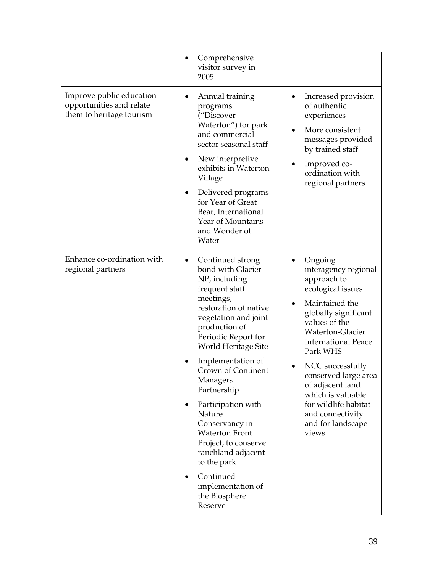|                                                                                  | Comprehensive<br>visitor survey in<br>2005                                                                                                                                                                                                                                                                                                                                                                                                                                        |                                                                                                                                                                                                                                                                                                                                                                    |
|----------------------------------------------------------------------------------|-----------------------------------------------------------------------------------------------------------------------------------------------------------------------------------------------------------------------------------------------------------------------------------------------------------------------------------------------------------------------------------------------------------------------------------------------------------------------------------|--------------------------------------------------------------------------------------------------------------------------------------------------------------------------------------------------------------------------------------------------------------------------------------------------------------------------------------------------------------------|
| Improve public education<br>opportunities and relate<br>them to heritage tourism | Annual training<br>programs<br>("Discover<br>Waterton") for park<br>and commercial<br>sector seasonal staff<br>New interpretive<br>exhibits in Waterton<br>Village<br>Delivered programs<br>for Year of Great<br>Bear, International<br>Year of Mountains<br>and Wonder of<br>Water                                                                                                                                                                                               | Increased provision<br>of authentic<br>experiences<br>More consistent<br>$\bullet$<br>messages provided<br>by trained staff<br>Improved co-<br>ordination with<br>regional partners                                                                                                                                                                                |
| Enhance co-ordination with<br>regional partners                                  | Continued strong<br>bond with Glacier<br>NP, including<br>frequent staff<br>meetings,<br>restoration of native<br>vegetation and joint<br>production of<br>Periodic Report for<br>World Heritage Site<br>Implementation of<br>Crown of Continent<br>Managers<br>Partnership<br>Participation with<br>Nature<br>Conservancy in<br><b>Waterton Front</b><br>Project, to conserve<br>ranchland adjacent<br>to the park<br>Continued<br>implementation of<br>the Biosphere<br>Reserve | Ongoing<br>interagency regional<br>approach to<br>ecological issues<br>Maintained the<br>globally significant<br>values of the<br><b>Waterton-Glacier</b><br><b>International Peace</b><br>Park WHS<br>NCC successfully<br>conserved large area<br>of adjacent land<br>which is valuable<br>for wildlife habitat<br>and connectivity<br>and for landscape<br>views |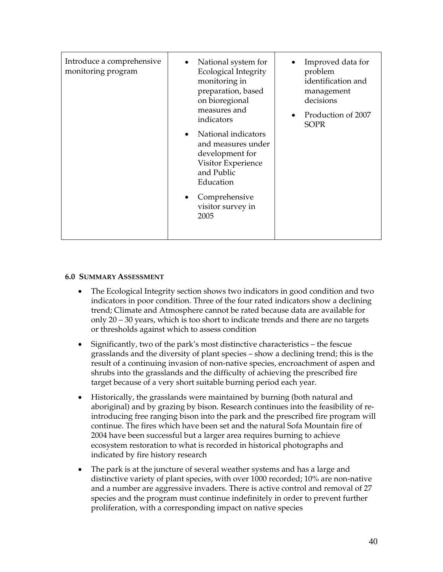| Introduce a comprehensive<br>monitoring program | National system for<br>$\bullet$<br>Ecological Integrity<br>monitoring in<br>preparation, based<br>on bioregional<br>measures and<br>indicators<br>National indicators<br>$\bullet$<br>and measures under<br>development for<br>Visitor Experience<br>and Public<br>Education<br>Comprehensive<br>٠<br>visitor survey in<br>2005 | Improved data for<br>problem<br>identification and<br>management<br>decisions<br>Production of 2007<br>$\bullet$<br><b>SOPR</b> |
|-------------------------------------------------|----------------------------------------------------------------------------------------------------------------------------------------------------------------------------------------------------------------------------------------------------------------------------------------------------------------------------------|---------------------------------------------------------------------------------------------------------------------------------|
|                                                 |                                                                                                                                                                                                                                                                                                                                  |                                                                                                                                 |

#### **6.0 SUMMARY ASSESSMENT**

- The Ecological Integrity section shows two indicators in good condition and two indicators in poor condition. Three of the four rated indicators show a declining trend; Climate and Atmosphere cannot be rated because data are available for only 20 – 30 years, which is too short to indicate trends and there are no targets or thresholds against which to assess condition
- Significantly, two of the park's most distinctive characteristics the fescue grasslands and the diversity of plant species – show a declining trend; this is the result of a continuing invasion of non-native species, encroachment of aspen and shrubs into the grasslands and the difficulty of achieving the prescribed fire target because of a very short suitable burning period each year.
- Historically, the grasslands were maintained by burning (both natural and aboriginal) and by grazing by bison. Research continues into the feasibility of reintroducing free ranging bison into the park and the prescribed fire program will continue. The fires which have been set and the natural Sofa Mountain fire of 2004 have been successful but a larger area requires burning to achieve ecosystem restoration to what is recorded in historical photographs and indicated by fire history research
- The park is at the juncture of several weather systems and has a large and distinctive variety of plant species, with over 1000 recorded; 10% are non-native and a number are aggressive invaders. There is active control and removal of 27 species and the program must continue indefinitely in order to prevent further proliferation, with a corresponding impact on native species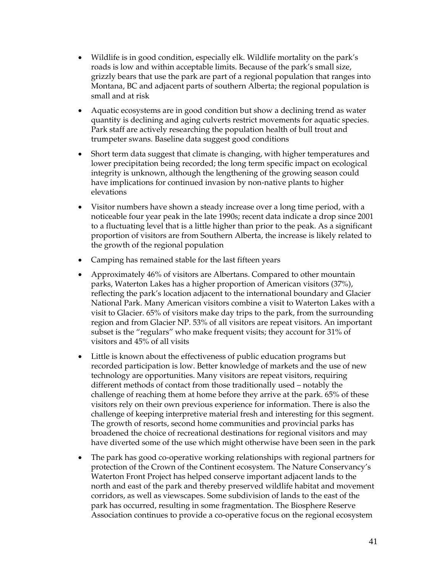- Wildlife is in good condition, especially elk. Wildlife mortality on the park's roads is low and within acceptable limits. Because of the park's small size, grizzly bears that use the park are part of a regional population that ranges into Montana, BC and adjacent parts of southern Alberta; the regional population is small and at risk
- Aquatic ecosystems are in good condition but show a declining trend as water quantity is declining and aging culverts restrict movements for aquatic species. Park staff are actively researching the population health of bull trout and trumpeter swans. Baseline data suggest good conditions
- Short term data suggest that climate is changing, with higher temperatures and lower precipitation being recorded; the long term specific impact on ecological integrity is unknown, although the lengthening of the growing season could have implications for continued invasion by non-native plants to higher elevations
- Visitor numbers have shown a steady increase over a long time period, with a noticeable four year peak in the late 1990s; recent data indicate a drop since 2001 to a fluctuating level that is a little higher than prior to the peak. As a significant proportion of visitors are from Southern Alberta, the increase is likely related to the growth of the regional population
- Camping has remained stable for the last fifteen years
- Approximately 46% of visitors are Albertans. Compared to other mountain parks, Waterton Lakes has a higher proportion of American visitors (37%), reflecting the park's location adjacent to the international boundary and Glacier National Park. Many American visitors combine a visit to Waterton Lakes with a visit to Glacier. 65% of visitors make day trips to the park, from the surrounding region and from Glacier NP. 53% of all visitors are repeat visitors. An important subset is the "regulars" who make frequent visits; they account for 31% of visitors and 45% of all visits
- Little is known about the effectiveness of public education programs but recorded participation is low. Better knowledge of markets and the use of new technology are opportunities. Many visitors are repeat visitors, requiring different methods of contact from those traditionally used – notably the challenge of reaching them at home before they arrive at the park. 65% of these visitors rely on their own previous experience for information. There is also the challenge of keeping interpretive material fresh and interesting for this segment. The growth of resorts, second home communities and provincial parks has broadened the choice of recreational destinations for regional visitors and may have diverted some of the use which might otherwise have been seen in the park
- The park has good co-operative working relationships with regional partners for protection of the Crown of the Continent ecosystem. The Nature Conservancy's Waterton Front Project has helped conserve important adjacent lands to the north and east of the park and thereby preserved wildlife habitat and movement corridors, as well as viewscapes. Some subdivision of lands to the east of the park has occurred, resulting in some fragmentation. The Biosphere Reserve Association continues to provide a co-operative focus on the regional ecosystem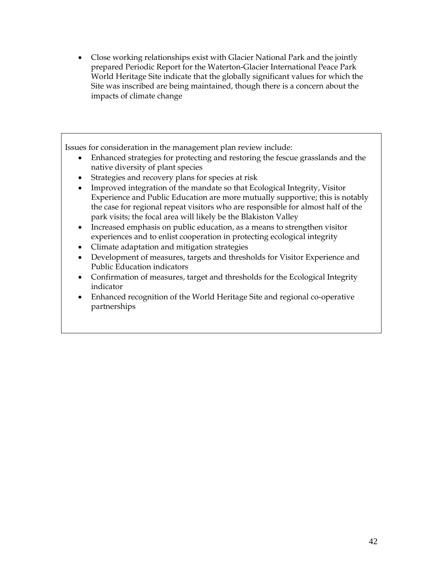• Close working relationships exist with Glacier National Park and the jointly prepared Periodic Report for the Waterton-Glacier International Peace Park World Heritage Site indicate that the globally significant values for which the Site was inscribed are being maintained, though there is a concern about the impacts of climate change

Issues for consideration in the management plan review include:

- Enhanced strategies for protecting and restoring the fescue grasslands and the native diversity of plant species
- Strategies and recovery plans for species at risk
- Improved integration of the mandate so that Ecological Integrity, Visitor Experience and Public Education are more mutually supportive; this is notably the case for regional repeat visitors who are responsible for almost half of the park visits; the focal area will likely be the Blakiston Valley
- Increased emphasis on public education, as a means to strengthen visitor experiences and to enlist cooperation in protecting ecological integrity
- Climate adaptation and mitigation strategies
- Development of measures, targets and thresholds for Visitor Experience and Public Education indicators
- Confirmation of measures, target and thresholds for the Ecological Integrity indicator
- Enhanced recognition of the World Heritage Site and regional co-operative partnerships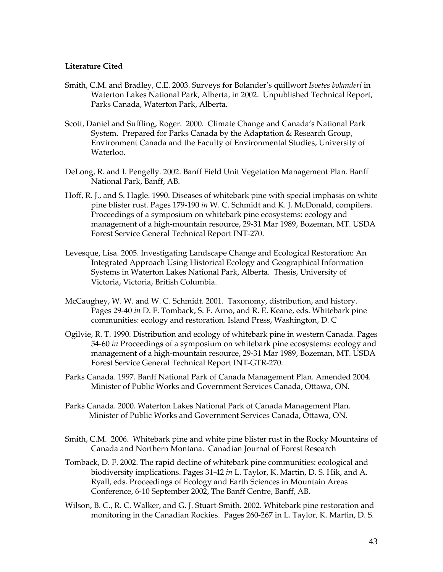#### **Literature Cited**

- Smith, C.M. and Bradley, C.E. 2003. Surveys for Bolander's quillwort *Isoetes bolanderi* in Waterton Lakes National Park, Alberta, in 2002. Unpublished Technical Report, Parks Canada, Waterton Park, Alberta.
- Scott, Daniel and Suffling, Roger. 2000. Climate Change and Canada's National Park System. Prepared for Parks Canada by the Adaptation & Research Group, Environment Canada and the Faculty of Environmental Studies, University of Waterloo.
- DeLong, R. and I. Pengelly. 2002. Banff Field Unit Vegetation Management Plan. Banff National Park, Banff, AB.
- Hoff, R. J., and S. Hagle. 1990. Diseases of whitebark pine with special imphasis on white pine blister rust. Pages 179-190 *in* W. C. Schmidt and K. J. McDonald, compilers. Proceedings of a symposium on whitebark pine ecosystems: ecology and management of a high-mountain resource, 29-31 Mar 1989, Bozeman, MT. USDA Forest Service General Technical Report INT-270.
- Levesque, Lisa. 2005. Investigating Landscape Change and Ecological Restoration: An Integrated Approach Using Historical Ecology and Geographical Information Systems in Waterton Lakes National Park, Alberta. Thesis, University of Victoria, Victoria, British Columbia.
- McCaughey, W. W. and W. C. Schmidt. 2001. Taxonomy, distribution, and history. Pages 29-40 *in* D. F. Tomback, S. F. Arno, and R. E. Keane, eds. Whitebark pine communities: ecology and restoration. Island Press, Washington, D. C
- Ogilvie, R. T. 1990. Distribution and ecology of whitebark pine in western Canada. Pages 54-60 *in* Proceedings of a symposium on whitebark pine ecosystems: ecology and management of a high-mountain resource, 29-31 Mar 1989, Bozeman, MT. USDA Forest Service General Technical Report INT-GTR-270.
- Parks Canada. 1997. Banff National Park of Canada Management Plan. Amended 2004. Minister of Public Works and Government Services Canada, Ottawa, ON.
- Parks Canada. 2000. Waterton Lakes National Park of Canada Management Plan. Minister of Public Works and Government Services Canada, Ottawa, ON.
- Smith, C.M. 2006. Whitebark pine and white pine blister rust in the Rocky Mountains of Canada and Northern Montana. Canadian Journal of Forest Research
- Tomback, D. F. 2002. The rapid decline of whitebark pine communities: ecological and biodiversity implications. Pages 31-42 *in* L. Taylor, K. Martin, D. S. Hik, and A. Ryall, eds. Proceedings of Ecology and Earth Sciences in Mountain Areas Conference, 6-10 September 2002, The Banff Centre, Banff, AB.
- Wilson, B. C., R. C. Walker, and G. J. Stuart-Smith. 2002. Whitebark pine restoration and monitoring in the Canadian Rockies. Pages 260-267 in L. Taylor, K. Martin, D. S.